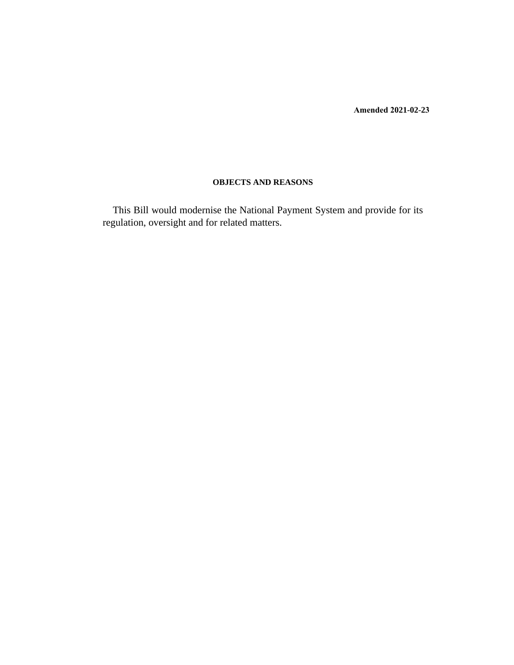**Amended 2021-02-23**

## **OBJECTS AND REASONS**

This Bill would modernise the National Payment System and provide for its regulation, oversight and for related matters.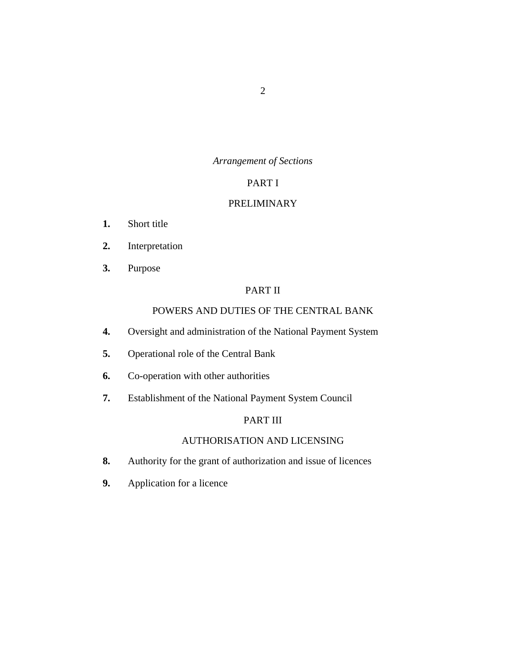## *Arrangement of Sections*

## PART I

## [PRELIMINARY](#page-9-0)

- [Short title](#page-9-0) **1.**
- [Interpretation](#page-9-0) **2.**
- [Purpose](#page-18-0) **3.**

## PART II

## [POWERS AND DUTIES OF THE CENTRAL BANK](#page-18-0)

- [Oversight and administration of the National Payment System](#page-18-0) **4.**
- [Operational role of the Central Bank](#page-19-0) **5.**
- [Co-operation with other authorities](#page-20-0) **6.**
- [Establishment of the National Payment System Council](#page-21-0) **7.**

## PART III

## [AUTHORISATION AND LICENSING](#page-21-0)

- [Authority for the grant of authorization and issue of licences](#page-21-0) **8.**
- [Application for a licence](#page-22-0) **9.**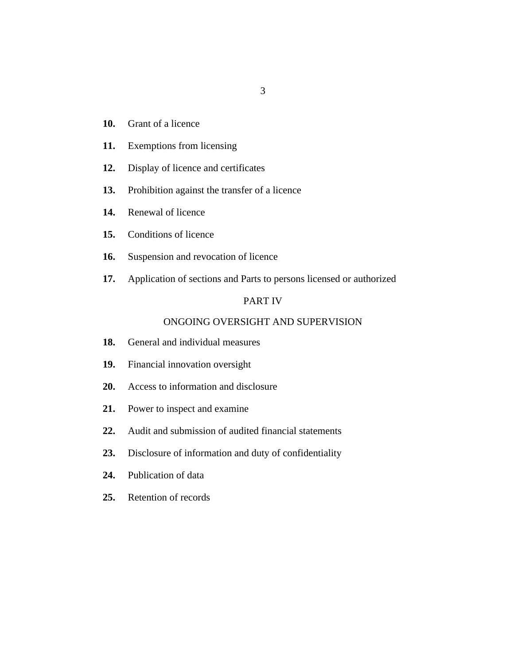- 
- [Grant of a licence](#page-22-0) **10.**
- [Exemptions from licensing](#page-23-0) **11.**
- [Display of licence and certificates](#page-24-0) **12.**
- [Prohibition against the transfer of a licence](#page-24-0) **13.**
- [Renewal of licence](#page-24-0) **14.**
- [Conditions of licence](#page-24-0) **15.**
- [Suspension and revocation of licence](#page-25-0) **16.**
- [Application of sections and Parts to persons licensed or authorized](#page-27-0) **17.**

## PART IV

3

## [ONGOING OVERSIGHT AND SUPERVISION](#page-27-0)

- [General and individual measures](#page-27-0) **18.**
- [Financial innovation oversight](#page-28-0) **19.**
- [Access to information and disclosure](#page-29-0) **20.**
- [Power to inspect and examine](#page-30-0) **21.**
- [Audit and submission of audited financial statements](#page-31-0) **22.**
- [Disclosure of information and duty of confidentiality](#page-32-0) **23.**
- [Publication of data](#page-33-0) **24.**
- [Retention of records](#page-34-0) **25.**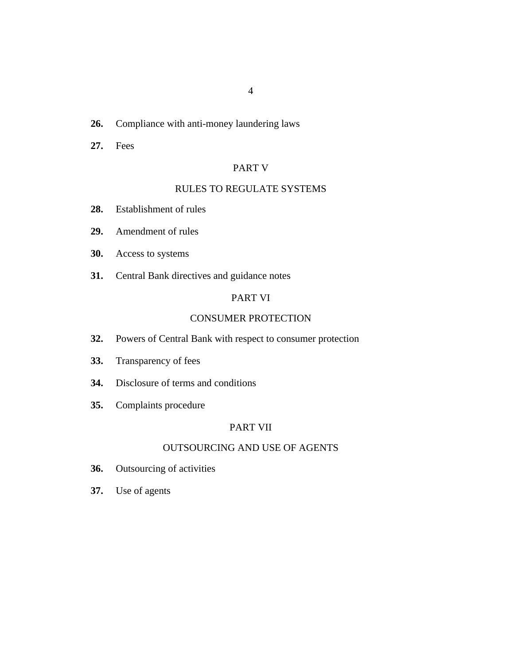#### [Compliance with anti-money laundering laws](#page-34-0) **26.**

[Fees](#page-34-0) **27.**

## PART V

## [RULES TO REGULATE SYSTEMS](#page-35-0)

- [Establishment of rules](#page-35-0) **28.**
- [Amendment of rules](#page-36-0) **29.**
- [Access to systems](#page-37-0) **30.**
- [Central Bank directives and guidance notes](#page-37-0) **31.**

## PART VI

#### [CONSUMER PROTECTION](#page-37-0)

- [Powers of Central Bank with respect to consumer protection](#page-37-0) **32.**
- [Transparency of fees](#page-38-0) **33.**
- [Disclosure of terms and conditions](#page-38-0) **34.**
- [Complaints procedure](#page-40-0) **35.**

## PART VII

## [OUTSOURCING AND USE OF AGENTS](#page-41-0)

- [Outsourcing of activities](#page-41-0) **36.**
- [Use of agents](#page-43-0) **37.**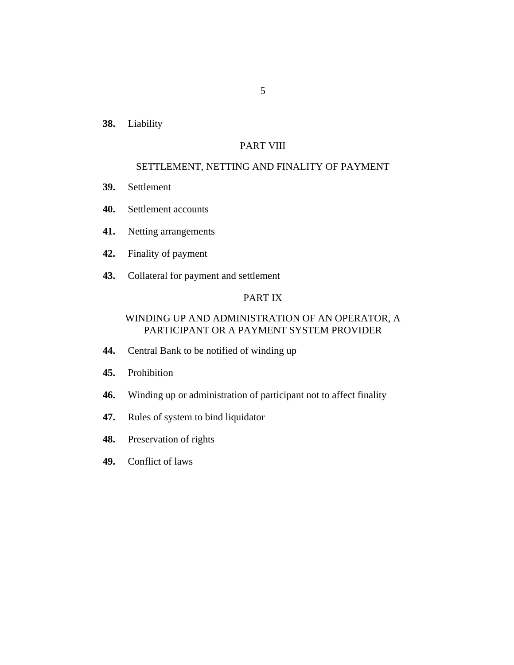[Liability](#page-43-0) **38.**

## PART VIII

#### [SETTLEMENT, NETTING AND FINALITY OF PAYMENT](#page-44-0)

- [Settlement](#page-44-0) **39.**
- [Settlement accounts](#page-44-0) **40.**
- [Netting arrangements](#page-45-0) **41.**
- [Finality of payment](#page-45-0) **42.**
- [Collateral for payment and settlement](#page-45-0) **43.**

## PART IX

## [WINDING UP AND ADMINISTRATION OF AN OPERATOR, A](#page-46-0) PARTICIPANT OR A PAYMENT SYSTEM PROVIDER

- [Central Bank to be notified of winding up](#page-46-0) **44.**
- [Prohibition](#page-46-0) **45.**
- [Winding up or administration of participant not to affect finality](#page-47-0) **46.**
- [Rules of system to bind liquidator](#page-47-0) **47.**
- [Preservation of rights](#page-48-0) **48.**
- [Conflict of laws](#page-48-0) **49.**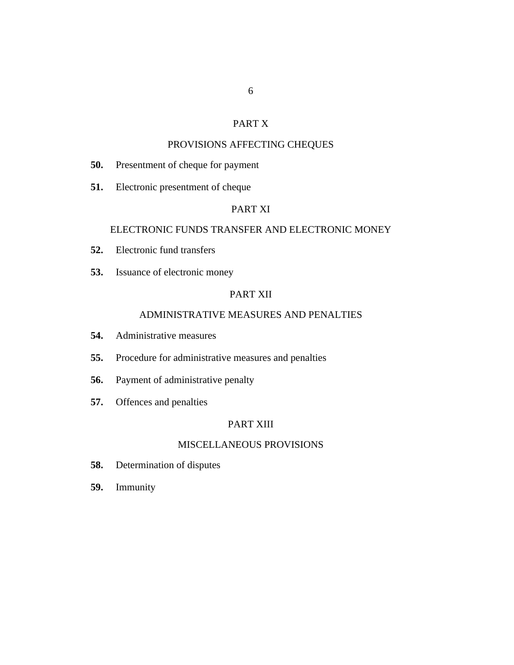## PART X

## [PROVISIONS AFFECTING CHEQUES](#page-48-0)

- [Presentment of cheque for payment](#page-48-0) **50.**
- [Electronic presentment of cheque](#page-49-0) **51.**

## PART XI

#### [ELECTRONIC FUNDS TRANSFER AND ELECTRONIC MONEY](#page-50-0)

- [Electronic fund transfers](#page-50-0) **52.**
- [Issuance of electronic money](#page-50-0) **53.**

## PART XII

## [ADMINISTRATIVE MEASURES AND PENALTIES](#page-52-0)

- [Administrative measures](#page-52-0) **54.**
- [Procedure for administrative measures and penalties](#page-53-0) **55.**
- [Payment of administrative penalty](#page-53-0) **56.**
- [Offences and penalties](#page-54-0) **57.**

## PART XIII

## [MISCELLANEOUS PROVISIONS](#page-55-0)

- [Determination of disputes](#page-55-0) **58.**
- [Immunity](#page-55-0) **59.**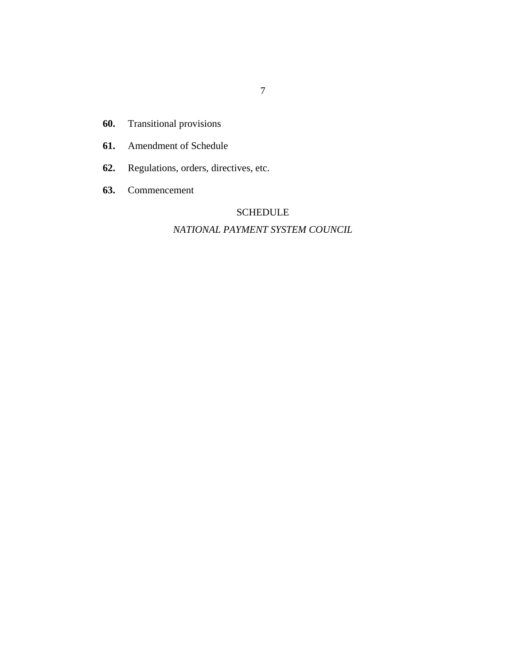- [Transitional provisions](#page-55-0) **60.**
- [Amendment of Schedule](#page-56-0) **61.**
- [Regulations, orders, directives, etc.](#page-56-0) **62.**
- [Commencement](#page-57-0) **63.**

# SCHEDULE

## *[NATIONAL PAYMENT SYSTEM COUNCIL](#page-58-0)*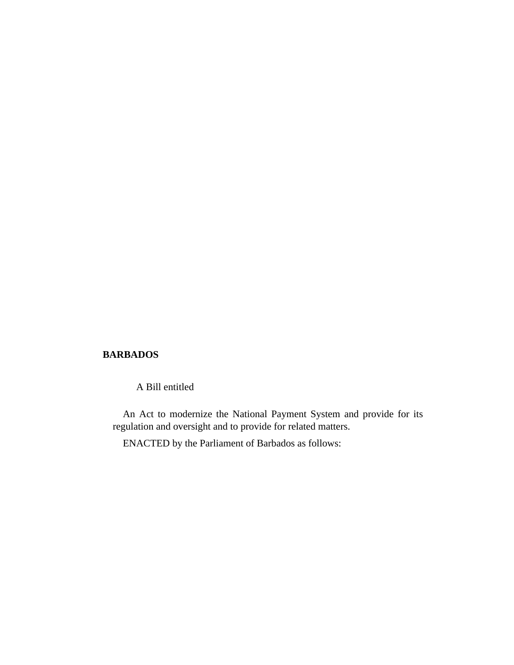## **BARBADOS**

A Bill entitled

An Act to modernize the National Payment System and provide for its regulation and oversight and to provide for related matters.

ENACTED by the Parliament of Barbados as follows: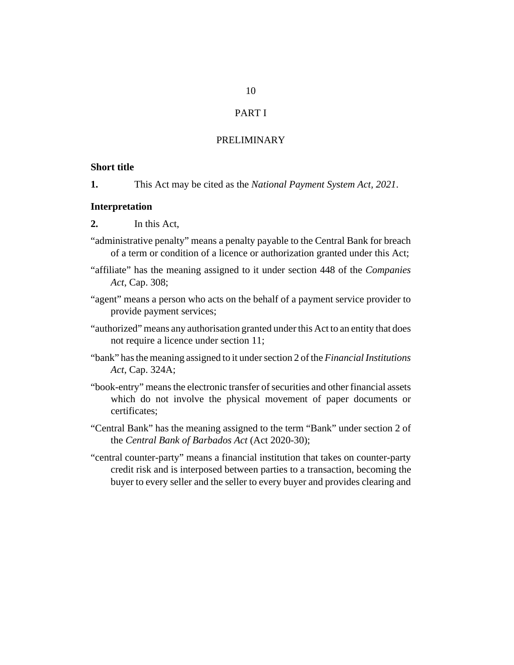## PART I

## PRELIMINARY

#### <span id="page-9-0"></span>**Short title**

This Act may be cited as the *National Payment System Act, 2021*. **1.**

#### **Interpretation**

- In this Act, **2.**
- "administrative penalty" means a penalty payable to the Central Bank for breach of a term or condition of a licence or authorization granted under this Act;
- "affiliate" has the meaning assigned to it under section 448 of the *[Companies](http://barbadosparliament-laws.com/en/showdoc/cs/308) Act*[, Cap. 308](http://barbadosparliament-laws.com/en/showdoc/cs/308);
- "agent" means a person who acts on the behalf of a payment service provider to provide payment services;
- "authorized" means any authorisation granted under this Act to an entity that does not require a licence under section 11;
- "bank" has the meaning assigned to it under section 2 of the *[Financial Institutions](http://barbadosparliament-laws.com/en/showdoc/cs/324A) Act*[, Cap. 324A;](http://barbadosparliament-laws.com/en/showdoc/cs/324A)
- "book-entry" means the electronic transfer of securities and other financial assets which do not involve the physical movement of paper documents or certificates;
- "Central Bank" has the meaning assigned to the term "Bank" under section 2 of the *[Central Bank of Barbados Act](http://barbadosparliament-laws.com/en/showdoc/cs/2020_30)* (Act 2020-30);
- "central counter-party" means a financial institution that takes on counter-party credit risk and is interposed between parties to a transaction, becoming the buyer to every seller and the seller to every buyer and provides clearing and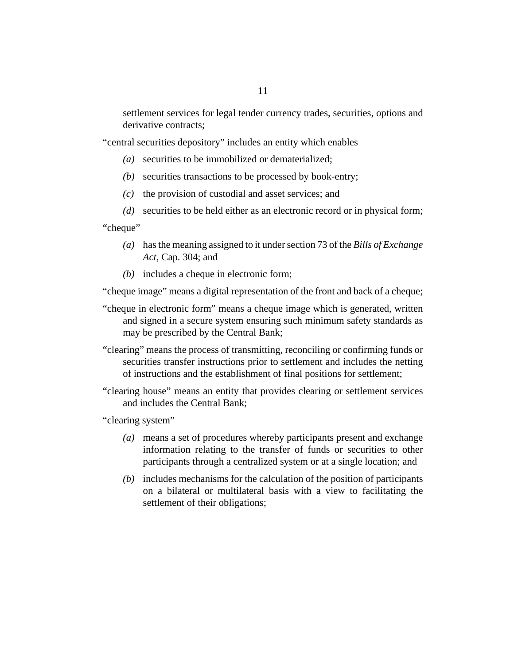settlement services for legal tender currency trades, securities, options and derivative contracts;

"central securities depository" includes an entity which enables

- securities to be immobilized or dematerialized; *(a)*
- securities transactions to be processed by book-entry; *(b)*
- $(c)$  the provision of custodial and asset services; and

securities to be held either as an electronic record or in physical form; *(d)* "cheque"

- has the meaning assigned to it under section 73 of the *[Bills of Exchange](http://barbadosparliament-laws.com/en/showdoc/cs/304) (a) Act*[, Cap. 304;](http://barbadosparliament-laws.com/en/showdoc/cs/304) and
- (b) includes a cheque in electronic form;

"cheque image" means a digital representation of the front and back of a cheque;

- "cheque in electronic form" means a cheque image which is generated, written and signed in a secure system ensuring such minimum safety standards as may be prescribed by the Central Bank;
- "clearing" means the process of transmitting, reconciling or confirming funds or securities transfer instructions prior to settlement and includes the netting of instructions and the establishment of final positions for settlement;
- "clearing house" means an entity that provides clearing or settlement services and includes the Central Bank;

"clearing system"

- means a set of procedures whereby participants present and exchange *(a)* information relating to the transfer of funds or securities to other participants through a centralized system or at a single location; and
- includes mechanisms for the calculation of the position of participants *(b)* on a bilateral or multilateral basis with a view to facilitating the settlement of their obligations;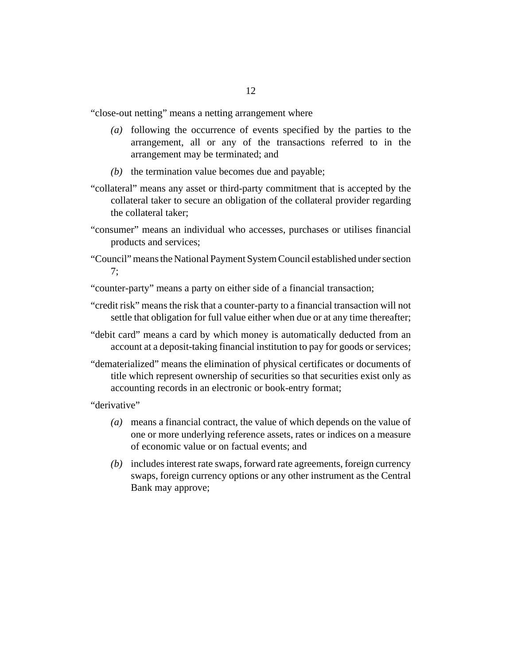"close-out netting" means a netting arrangement where

- following the occurrence of events specified by the parties to the *(a)* arrangement, all or any of the transactions referred to in the arrangement may be terminated; and
- $(b)$  the termination value becomes due and payable;
- "collateral" means any asset or third-party commitment that is accepted by the collateral taker to secure an obligation of the collateral provider regarding the collateral taker;
- "consumer" means an individual who accesses, purchases or utilises financial products and services;
- "Council" means the National Payment System Council established under section 7;
- "counter-party" means a party on either side of a financial transaction;
- "credit risk" means the risk that a counter-party to a financial transaction will not settle that obligation for full value either when due or at any time thereafter;
- "debit card" means a card by which money is automatically deducted from an account at a deposit-taking financial institution to pay for goods or services;
- "dematerialized" means the elimination of physical certificates or documents of title which represent ownership of securities so that securities exist only as accounting records in an electronic or book-entry format;

"derivative"

- means a financial contract, the value of which depends on the value of *(a)* one or more underlying reference assets, rates or indices on a measure of economic value or on factual events; and
- includes interest rate swaps, forward rate agreements, foreign currency *(b)* swaps, foreign currency options or any other instrument as the Central Bank may approve;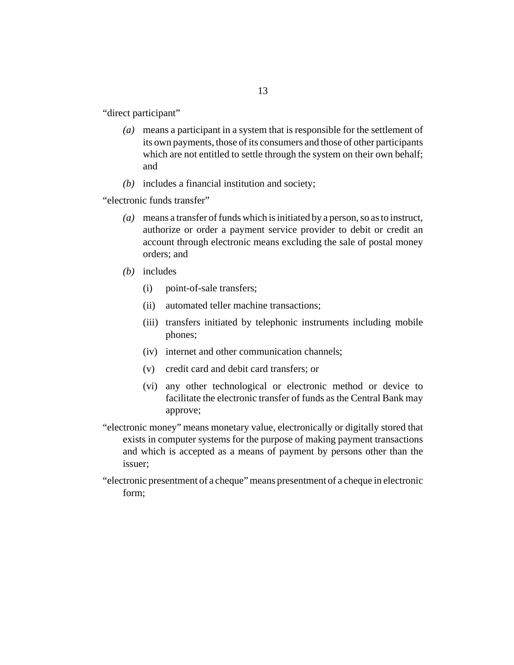"direct participant"

means a participant in a system that is responsible for the settlement of *(a)* its own payments, those of its consumers and those of other participants which are not entitled to settle through the system on their own behalf; and

13

(b) includes a financial institution and society;

"electronic funds transfer"

- means a transfer of funds which is initiated by a person, so as to instruct, *(a)* authorize or order a payment service provider to debit or credit an account through electronic means excluding the sale of postal money orders; and
- (b) includes
	- point-of-sale transfers; (i)
	- automated teller machine transactions; (ii)
	- (iii) transfers initiated by telephonic instruments including mobile phones;
	- (iv) internet and other communication channels;
	- credit card and debit card transfers; or (v)
	- (vi) any other technological or electronic method or device to facilitate the electronic transfer of funds as the Central Bank may approve;
- "electronic money" means monetary value, electronically or digitally stored that exists in computer systems for the purpose of making payment transactions and which is accepted as a means of payment by persons other than the issuer;
- "electronic presentment of a cheque" means presentment of a cheque in electronic form;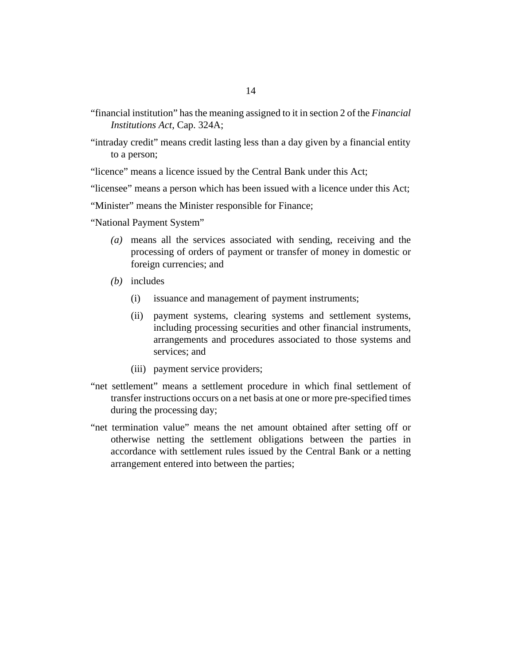- "financial institution" has the meaning assigned to it in section 2 of the *[Financial](http://barbadosparliament-laws.com/en/showdoc/cs/324A) [Institutions Act](http://barbadosparliament-laws.com/en/showdoc/cs/324A)*, Cap. 324A;
- "intraday credit" means credit lasting less than a day given by a financial entity to a person;

"licence" means a licence issued by the Central Bank under this Act;

"licensee" means a person which has been issued with a licence under this Act;

"Minister" means the Minister responsible for Finance;

- "National Payment System"
	- means all the services associated with sending, receiving and the *(a)* processing of orders of payment or transfer of money in domestic or foreign currencies; and
	- (b) includes
		- issuance and management of payment instruments; (i)
		- payment systems, clearing systems and settlement systems, including processing securities and other financial instruments, arrangements and procedures associated to those systems and services; and (ii)
		- (iii) payment service providers;
- "net settlement" means a settlement procedure in which final settlement of transfer instructions occurs on a net basis at one or more pre-specified times during the processing day;
- "net termination value" means the net amount obtained after setting off or otherwise netting the settlement obligations between the parties in accordance with settlement rules issued by the Central Bank or a netting arrangement entered into between the parties;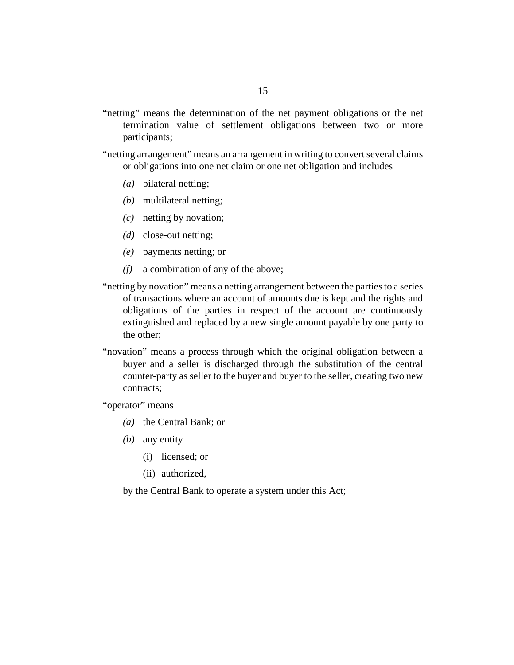- "netting" means the determination of the net payment obligations or the net termination value of settlement obligations between two or more participants;
- "netting arrangement" means an arrangement in writing to convert several claims or obligations into one net claim or one net obligation and includes
	- bilateral netting; *(a)*
	- multilateral netting; *(b)*
	- netting by novation; *(c)*
	- (*d*) close-out netting;
	- payments netting; or *(e)*
	- a combination of any of the above; *(f)*
- "netting by novation" means a netting arrangement between the parties to a series of transactions where an account of amounts due is kept and the rights and obligations of the parties in respect of the account are continuously extinguished and replaced by a new single amount payable by one party to the other;
- "novation" means a process through which the original obligation between a buyer and a seller is discharged through the substitution of the central counter-party as seller to the buyer and buyer to the seller, creating two new contracts;

"operator" means

- (a) the Central Bank; or
- any entity *(b)*
	- (i) licensed; or
	- (ii) authorized,

by the Central Bank to operate a system under this Act;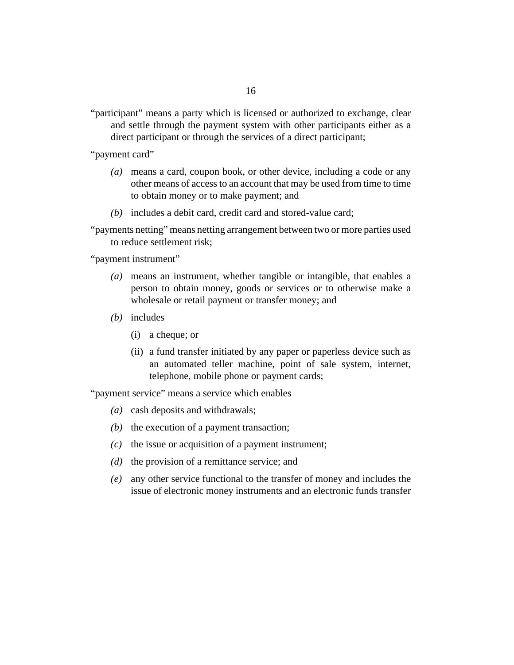"participant" means a party which is licensed or authorized to exchange, clear and settle through the payment system with other participants either as a direct participant or through the services of a direct participant;

"payment card"

- means a card, coupon book, or other device, including a code or any *(a)* other means of access to an account that may be used from time to time to obtain money or to make payment; and
- (b) includes a debit card, credit card and stored-value card;

"payments netting" means netting arrangement between two or more parties used to reduce settlement risk;

"payment instrument"

- means an instrument, whether tangible or intangible, that enables a *(a)* person to obtain money, goods or services or to otherwise make a wholesale or retail payment or transfer money; and
- (b) includes
	- a cheque; or (i)
	- (ii) a fund transfer initiated by any paper or paperless device such as an automated teller machine, point of sale system, internet, telephone, mobile phone or payment cards;

"payment service" means a service which enables

- cash deposits and withdrawals; *(a)*
- $(b)$  the execution of a payment transaction;
- $(c)$  the issue or acquisition of a payment instrument;
- (d) the provision of a remittance service; and
- any other service functional to the transfer of money and includes the *(e)* issue of electronic money instruments and an electronic funds transfer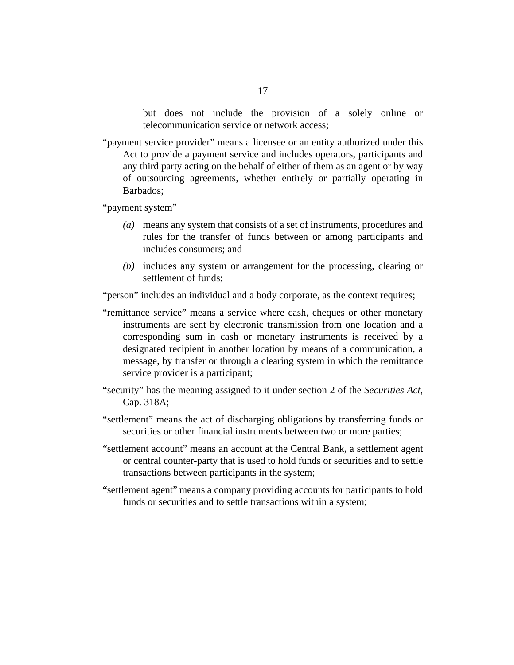but does not include the provision of a solely online or telecommunication service or network access;

"payment service provider" means a licensee or an entity authorized under this Act to provide a payment service and includes operators, participants and any third party acting on the behalf of either of them as an agent or by way of outsourcing agreements, whether entirely or partially operating in Barbados;

"payment system"

- means any system that consists of a set of instruments, procedures and *(a)* rules for the transfer of funds between or among participants and includes consumers; and
- includes any system or arrangement for the processing, clearing or *(b)* settlement of funds;

"person" includes an individual and a body corporate, as the context requires;

- "remittance service" means a service where cash, cheques or other monetary instruments are sent by electronic transmission from one location and a corresponding sum in cash or monetary instruments is received by a designated recipient in another location by means of a communication, a message, by transfer or through a clearing system in which the remittance service provider is a participant;
- "security" has the meaning assigned to it under section 2 of the *[Securities Act](http://barbadosparliament-laws.com/en/showdoc/cs/318A)*, [Cap. 318A](http://barbadosparliament-laws.com/en/showdoc/cs/318A);
- "settlement" means the act of discharging obligations by transferring funds or securities or other financial instruments between two or more parties;
- "settlement account" means an account at the Central Bank, a settlement agent or central counter-party that is used to hold funds or securities and to settle transactions between participants in the system;
- "settlement agent" means a company providing accounts for participants to hold funds or securities and to settle transactions within a system;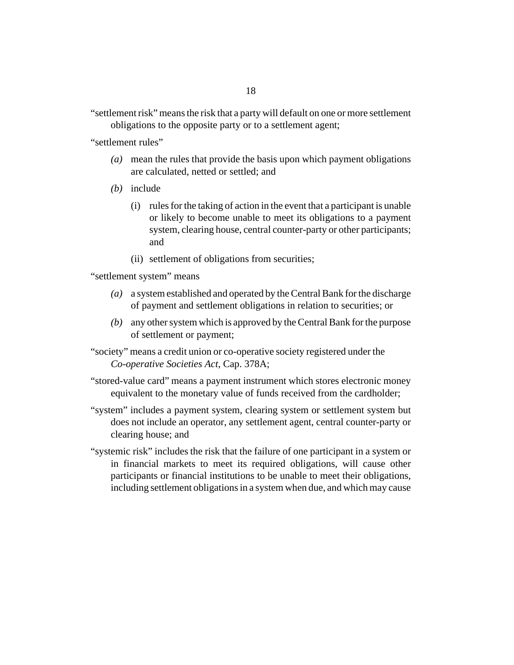"settlement risk" means the risk that a party will default on one or more settlement obligations to the opposite party or to a settlement agent;

"settlement rules"

- mean the rules that provide the basis upon which payment obligations *(a)* are calculated, netted or settled; and
- (b) include
	- (i) rules for the taking of action in the event that a participant is unable or likely to become unable to meet its obligations to a payment system, clearing house, central counter-party or other participants; and
	- (ii) settlement of obligations from securities;

"settlement system" means

- (a) a system established and operated by the Central Bank for the discharge of payment and settlement obligations in relation to securities; or
- any other system which is approved by the Central Bank for the purpose *(b)* of settlement or payment;
- "society" means a credit union or co-operative society registered under the *[Co-operative Societies Act](http://barbadosparliament-laws.com/en/showdoc/cs/378A)*, Cap. 378A;
- "stored-value card" means a payment instrument which stores electronic money equivalent to the monetary value of funds received from the cardholder;
- "system" includes a payment system, clearing system or settlement system but does not include an operator, any settlement agent, central counter-party or clearing house; and
- "systemic risk" includes the risk that the failure of one participant in a system or in financial markets to meet its required obligations, will cause other participants or financial institutions to be unable to meet their obligations, including settlement obligations in a system when due, and which may cause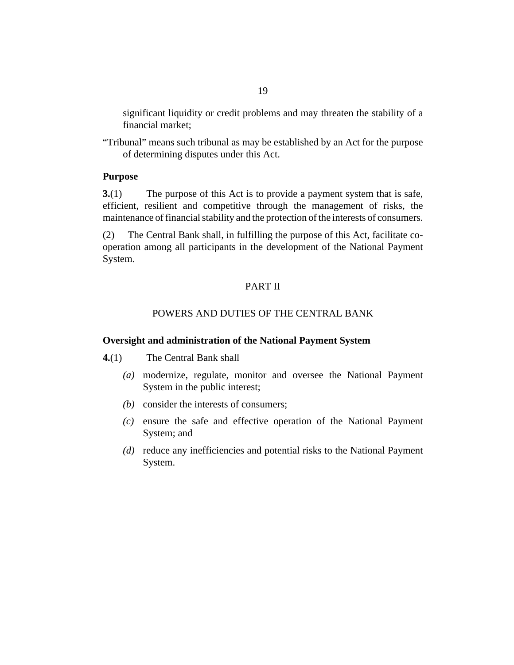<span id="page-18-0"></span>significant liquidity or credit problems and may threaten the stability of a financial market;

"Tribunal" means such tribunal as may be established by an Act for the purpose of determining disputes under this Act.

#### **Purpose**

The purpose of this Act is to provide a payment system that is safe, efficient, resilient and competitive through the management of risks, the maintenance of financial stability and the protection of the interests of consumers. **3.**(1)

The Central Bank shall, in fulfilling the purpose of this Act, facilitate cooperation among all participants in the development of the National Payment System. (2)

## PART II

#### POWERS AND DUTIES OF THE CENTRAL BANK

#### **Oversight and administration of the National Payment System**

The Central Bank shall **4.**(1)

- modernize, regulate, monitor and oversee the National Payment *(a)* System in the public interest;
- (b) consider the interests of consumers;
- ensure the safe and effective operation of the National Payment *(c)* System; and
- (d) reduce any inefficiencies and potential risks to the National Payment System.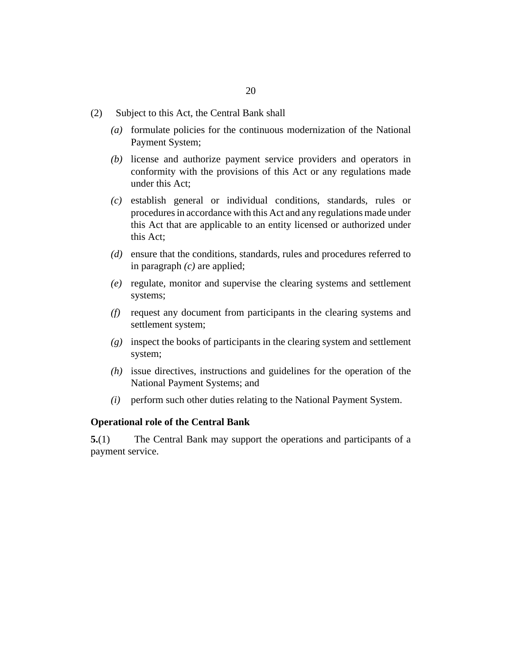- <span id="page-19-0"></span>Subject to this Act, the Central Bank shall (2)
	- formulate policies for the continuous modernization of the National *(a)* Payment System;
	- (b) license and authorize payment service providers and operators in conformity with the provisions of this Act or any regulations made under this Act;
	- establish general or individual conditions, standards, rules or *(c)* procedures in accordance with this Act and any regulations made under this Act that are applicable to an entity licensed or authorized under this Act;
	- ensure that the conditions, standards, rules and procedures referred to *(d)* in paragraph *(c)* are applied;
	- regulate, monitor and supervise the clearing systems and settlement *(e)* systems;
	- request any document from participants in the clearing systems and *(f)* settlement system;
	- inspect the books of participants in the clearing system and settlement *(g)* system;
	- $(h)$  issue directives, instructions and guidelines for the operation of the National Payment Systems; and
	- perform such other duties relating to the National Payment System. *(i)*

#### **Operational role of the Central Bank**

The Central Bank may support the operations and participants of a payment service. **5.**(1)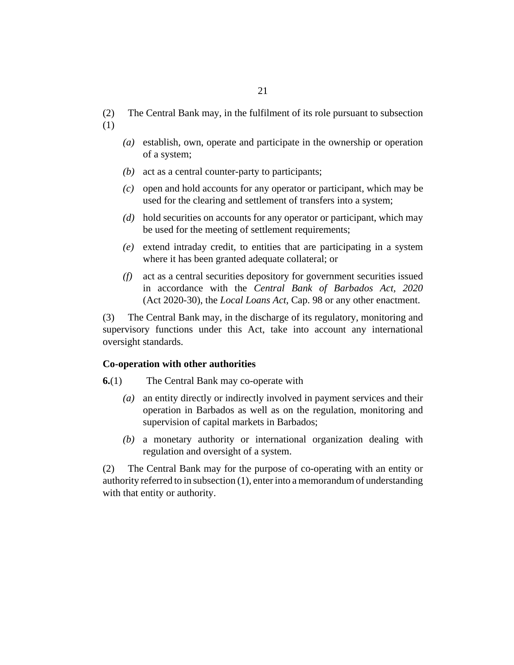- <span id="page-20-0"></span>The Central Bank may, in the fulfilment of its role pursuant to subsection (2)
- (1)
- establish, own, operate and participate in the ownership or operation *(a)* of a system;
- (b) act as a central counter-party to participants;
- (c) open and hold accounts for any operator or participant, which may be used for the clearing and settlement of transfers into a system;
- hold securities on accounts for any operator or participant, which may *(d)* be used for the meeting of settlement requirements;
- extend intraday credit, to entities that are participating in a system *(e)* where it has been granted adequate collateral; or
- act as a central securities depository for government securities issued *(f)* in accordance with the *[Central Bank of Barbados Act, 2020](http://barbadosparliament-laws.com/en/showdoc/cs/2020_30)* [\(Act 2020-30\),](http://barbadosparliament-laws.com/en/showdoc/cs/2020_30) the *[Local Loans Act](http://barbadosparliament-laws.com/en/showdoc/cs/98)*, Cap. 98 or any other enactment.

The Central Bank may, in the discharge of its regulatory, monitoring and supervisory functions under this Act, take into account any international oversight standards. (3)

#### **Co-operation with other authorities**

- The Central Bank may co-operate with **6.**(1)
	- an entity directly or indirectly involved in payment services and their *(a)* operation in Barbados as well as on the regulation, monitoring and supervision of capital markets in Barbados;
	- a monetary authority or international organization dealing with *(b)* regulation and oversight of a system.

The Central Bank may for the purpose of co-operating with an entity or authority referred to in subsection (1), enter into a memorandum of understanding with that entity or authority. (2)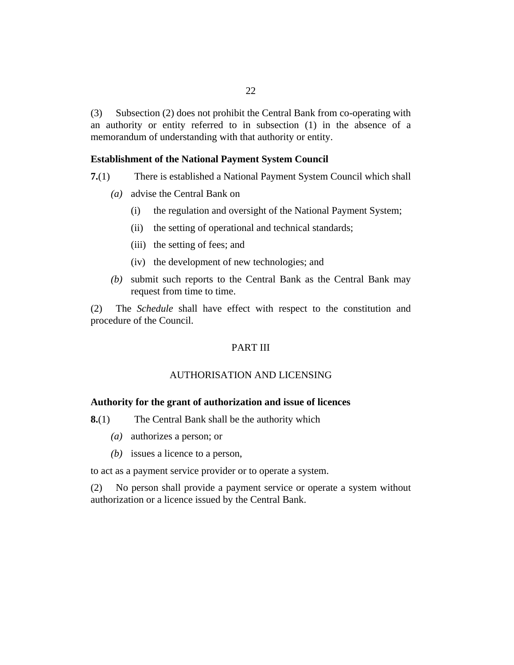<span id="page-21-0"></span>Subsection (2) does not prohibit the Central Bank from co-operating with an authority or entity referred to in subsection (1) in the absence of a memorandum of understanding with that authority or entity. (3)

#### **Establishment of the National Payment System Council**

- There is established a National Payment System Council which shall **7.**(1)
	- (a) advise the Central Bank on
		- the regulation and oversight of the National Payment System; (i)
		- the setting of operational and technical standards; (ii)
		- (iii) the setting of fees; and
		- (iv) the development of new technologies; and
	- submit such reports to the Central Bank as the Central Bank may *(b)* request from time to time.

The *Schedule* shall have effect with respect to the constitution and procedure of the Council. (2)

### PART III

## AUTHORISATION AND LICENSING

#### **Authority for the grant of authorization and issue of licences**

- The Central Bank shall be the authority which **8.**(1)
	- authorizes a person; or *(a)*
	- (b) issues a licence to a person,

to act as a payment service provider or to operate a system.

No person shall provide a payment service or operate a system without authorization or a licence issued by the Central Bank. (2)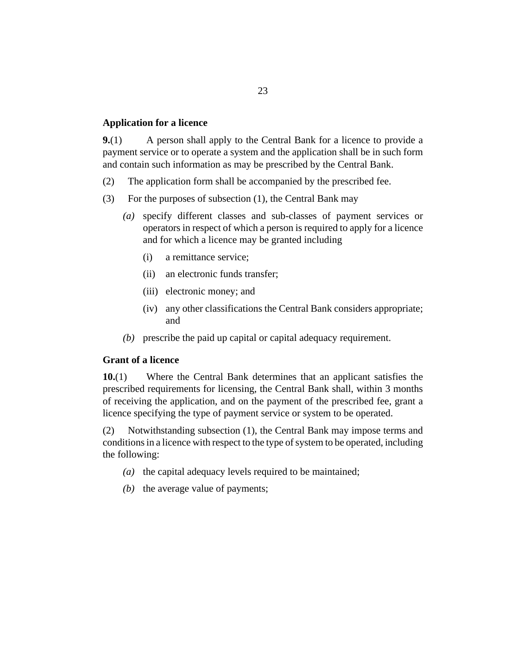#### <span id="page-22-0"></span>**Application for a licence**

A person shall apply to the Central Bank for a licence to provide a payment service or to operate a system and the application shall be in such form and contain such information as may be prescribed by the Central Bank. **9.**(1)

- The application form shall be accompanied by the prescribed fee. (2)
- For the purposes of subsection (1), the Central Bank may (3)
	- specify different classes and sub-classes of payment services or *(a)* operators in respect of which a person is required to apply for a licence and for which a licence may be granted including
		- a remittance service; (i)
		- (ii) an electronic funds transfer;
		- (iii) electronic money; and
		- (iv) any other classifications the Central Bank considers appropriate; and
	- (b) prescribe the paid up capital or capital adequacy requirement.

## **Grant of a licence**

Where the Central Bank determines that an applicant satisfies the prescribed requirements for licensing, the Central Bank shall, within 3 months of receiving the application, and on the payment of the prescribed fee, grant a licence specifying the type of payment service or system to be operated. **10.**(1)

Notwithstanding subsection (1), the Central Bank may impose terms and conditions in a licence with respect to the type of system to be operated, including the following: (2)

- ( $a)$  the capital adequacy levels required to be maintained;
- $(b)$  the average value of payments;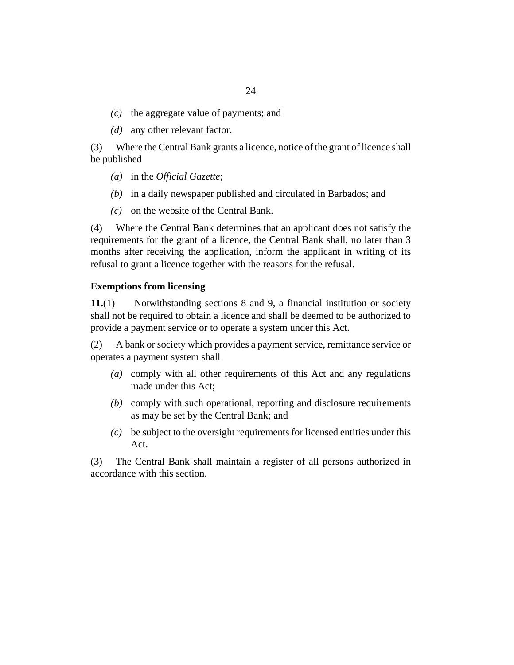- <span id="page-23-0"></span> $(c)$  the aggregate value of payments; and
- (*d*) any other relevant factor.

Where the Central Bank grants a licence, notice of the grant of licence shall be published (3)

- in the *Official Gazette*; *(a)*
- (b) in a daily newspaper published and circulated in Barbados; and
- $(c)$  on the website of the Central Bank.

Where the Central Bank determines that an applicant does not satisfy the requirements for the grant of a licence, the Central Bank shall, no later than 3 months after receiving the application, inform the applicant in writing of its refusal to grant a licence together with the reasons for the refusal. (4)

#### **Exemptions from licensing**

Notwithstanding sections 8 and 9, a financial institution or society shall not be required to obtain a licence and shall be deemed to be authorized to provide a payment service or to operate a system under this Act. **11.**(1)

A bank or society which provides a payment service, remittance service or operates a payment system shall (2)

- comply with all other requirements of this Act and any regulations *(a)* made under this Act;
- comply with such operational, reporting and disclosure requirements *(b)* as may be set by the Central Bank; and
- be subject to the oversight requirements for licensed entities under this *(c)* Act.

The Central Bank shall maintain a register of all persons authorized in accordance with this section. (3)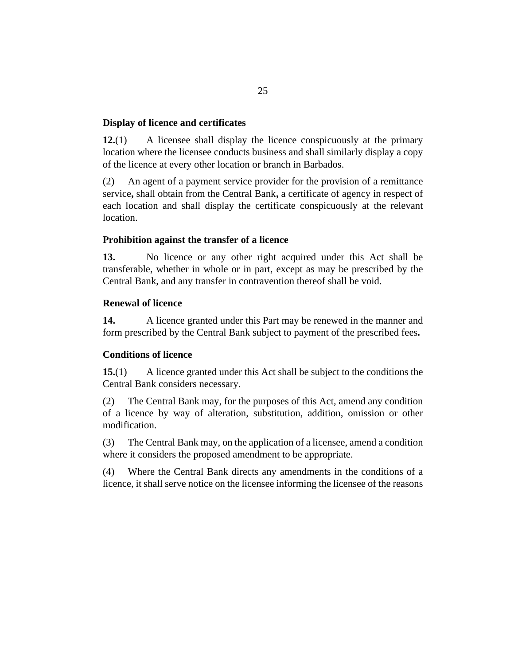### <span id="page-24-0"></span>**Display of licence and certificates**

A licensee shall display the licence conspicuously at the primary location where the licensee conducts business and shall similarly display a copy of the licence at every other location or branch in Barbados. **12.**(1)

An agent of a payment service provider for the provision of a remittance service**,** shall obtain from the Central Bank**,** a certificate of agency in respect of each location and shall display the certificate conspicuously at the relevant location. (2)

## **Prohibition against the transfer of a licence**

No licence or any other right acquired under this Act shall be transferable, whether in whole or in part, except as may be prescribed by the Central Bank, and any transfer in contravention thereof shall be void. **13.**

### **Renewal of licence**

A licence granted under this Part may be renewed in the manner and form prescribed by the Central Bank subject to payment of the prescribed fees**. 14.**

## **Conditions of licence**

A licence granted under this Act shall be subject to the conditions the Central Bank considers necessary. **15.**(1)

The Central Bank may, for the purposes of this Act, amend any condition of a licence by way of alteration, substitution, addition, omission or other modification. (2)

The Central Bank may, on the application of a licensee, amend a condition where it considers the proposed amendment to be appropriate. (3)

Where the Central Bank directs any amendments in the conditions of a licence, it shall serve notice on the licensee informing the licensee of the reasons (4)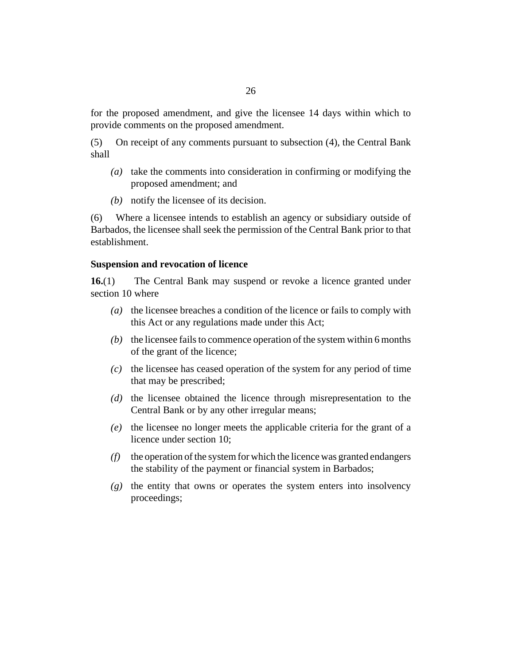<span id="page-25-0"></span>for the proposed amendment, and give the licensee 14 days within which to provide comments on the proposed amendment.

On receipt of any comments pursuant to subsection (4), the Central Bank shall (5)

- take the comments into consideration in confirming or modifying the *(a)* proposed amendment; and
- notify the licensee of its decision. *(b)*

Where a licensee intends to establish an agency or subsidiary outside of Barbados, the licensee shall seek the permission of the Central Bank prior to that establishment. (6)

#### **Suspension and revocation of licence**

The Central Bank may suspend or revoke a licence granted under section 10 where **16.**(1)

- (a) the licensee breaches a condition of the licence or fails to comply with this Act or any regulations made under this Act;
- $(b)$  the licensee fails to commence operation of the system within 6 months of the grant of the licence;
- $\alpha$  the licensee has ceased operation of the system for any period of time that may be prescribed;
- (d) the licensee obtained the licence through misrepresentation to the Central Bank or by any other irregular means;
- (e) the licensee no longer meets the applicable criteria for the grant of a licence under section 10;
- the operation of the system for which the licence was granted endangers *(f)* the stability of the payment or financial system in Barbados;
- (g) the entity that owns or operates the system enters into insolvency proceedings;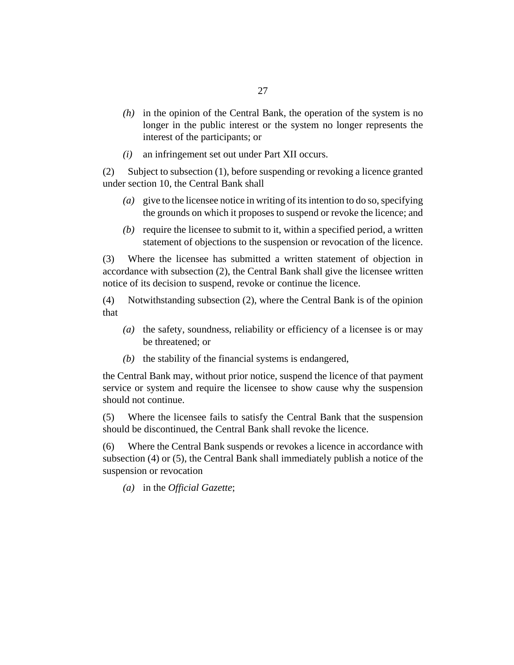- $(h)$  in the opinion of the Central Bank, the operation of the system is no longer in the public interest or the system no longer represents the interest of the participants; or
- an infringement set out under Part XII occurs. *(i)*

Subject to subsection (1), before suspending or revoking a licence granted under section 10, the Central Bank shall (2)

- give to the licensee notice in writing of its intention to do so, specifying *(a)* the grounds on which it proposes to suspend or revoke the licence; and
- $(b)$  require the licensee to submit to it, within a specified period, a written statement of objections to the suspension or revocation of the licence.

Where the licensee has submitted a written statement of objection in accordance with subsection (2), the Central Bank shall give the licensee written notice of its decision to suspend, revoke or continue the licence. (3)

Notwithstanding subsection (2), where the Central Bank is of the opinion that (4)

- (a) the safety, soundness, reliability or efficiency of a licensee is or may be threatened; or
- $(b)$  the stability of the financial systems is endangered,

the Central Bank may, without prior notice, suspend the licence of that payment service or system and require the licensee to show cause why the suspension should not continue.

Where the licensee fails to satisfy the Central Bank that the suspension should be discontinued, the Central Bank shall revoke the licence. (5)

Where the Central Bank suspends or revokes a licence in accordance with subsection (4) or (5), the Central Bank shall immediately publish a notice of the suspension or revocation (6)

in the *Official Gazette*; *(a)*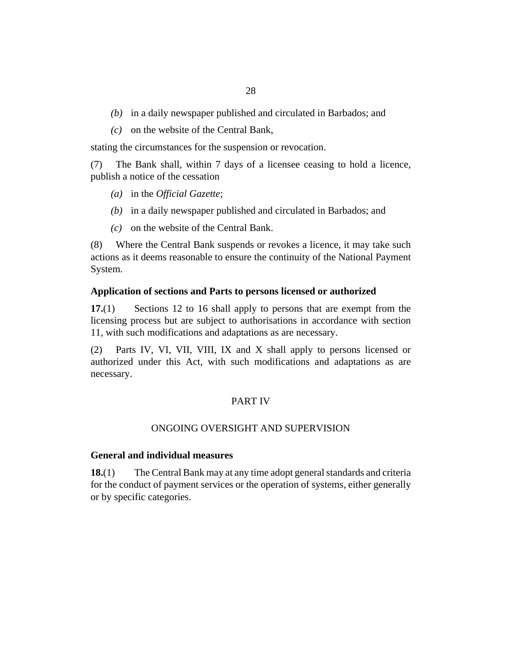- <span id="page-27-0"></span>(b) in a daily newspaper published and circulated in Barbados; and
- on the website of the Central Bank, *(c)*

stating the circumstances for the suspension or revocation.

The Bank shall, within 7 days of a licensee ceasing to hold a licence, publish a notice of the cessation (7)

- in the *Official Gazette*; *(a)*
- (b) in a daily newspaper published and circulated in Barbados; and
- $(c)$  on the website of the Central Bank.

Where the Central Bank suspends or revokes a licence, it may take such actions as it deems reasonable to ensure the continuity of the National Payment System. (8)

#### **Application of sections and Parts to persons licensed or authorized**

Sections 12 to 16 shall apply to persons that are exempt from the licensing process but are subject to authorisations in accordance with section 11, with such modifications and adaptations as are necessary. **17.**(1)

Parts IV, VI, VII, VIII, IX and X shall apply to persons licensed or authorized under this Act, with such modifications and adaptations as are necessary. (2)

#### PART IV

#### ONGOING OVERSIGHT AND SUPERVISION

#### **General and individual measures**

The Central Bank may at any time adopt general standards and criteria for the conduct of payment services or the operation of systems, either generally or by specific categories. **18.**(1)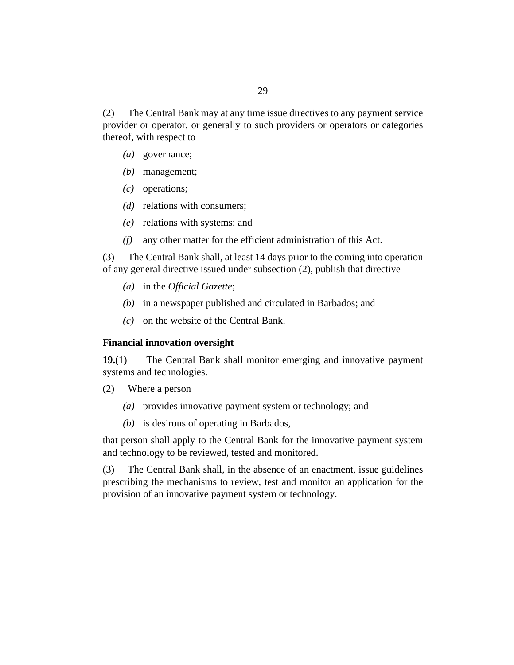<span id="page-28-0"></span>The Central Bank may at any time issue directives to any payment service provider or operator, or generally to such providers or operators or categories thereof, with respect to (2)

- (a) governance;
- management; *(b)*
- (c) operations;
- (*d*) relations with consumers;
- relations with systems; and *(e)*
- any other matter for the efficient administration of this Act. *(f)*

The Central Bank shall, at least 14 days prior to the coming into operation of any general directive issued under subsection (2), publish that directive (3)

- in the *Official Gazette*; *(a)*
- (b) in a newspaper published and circulated in Barbados; and
- $(c)$  on the website of the Central Bank.

#### **Financial innovation oversight**

The Central Bank shall monitor emerging and innovative payment systems and technologies. **19.**(1)

- Where a person (2)
	- provides innovative payment system or technology; and *(a)*
	- (b) is desirous of operating in Barbados,

that person shall apply to the Central Bank for the innovative payment system and technology to be reviewed, tested and monitored.

The Central Bank shall, in the absence of an enactment, issue guidelines prescribing the mechanisms to review, test and monitor an application for the provision of an innovative payment system or technology. (3)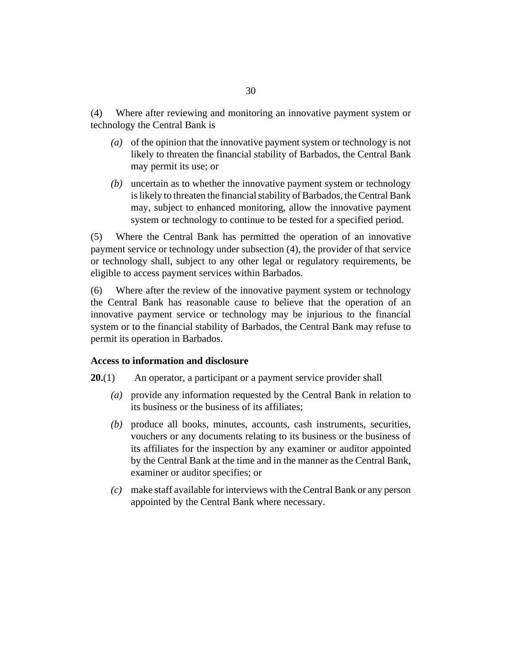<span id="page-29-0"></span>Where after reviewing and monitoring an innovative payment system or technology the Central Bank is (4)

- (a) of the opinion that the innovative payment system or technology is not likely to threaten the financial stability of Barbados, the Central Bank may permit its use; or
- uncertain as to whether the innovative payment system or technology *(b)* is likely to threaten the financial stability of Barbados, the Central Bank may, subject to enhanced monitoring, allow the innovative payment system or technology to continue to be tested for a specified period.

Where the Central Bank has permitted the operation of an innovative payment service or technology under subsection (4), the provider of that service or technology shall, subject to any other legal or regulatory requirements, be eligible to access payment services within Barbados. (5)

Where after the review of the innovative payment system or technology the Central Bank has reasonable cause to believe that the operation of an innovative payment service or technology may be injurious to the financial system or to the financial stability of Barbados, the Central Bank may refuse to permit its operation in Barbados. (6)

#### **Access to information and disclosure**

- An operator, a participant or a payment service provider shall **20.**(1)
	- provide any information requested by the Central Bank in relation to *(a)* its business or the business of its affiliates;
	- produce all books, minutes, accounts, cash instruments, securities, *(b)* vouchers or any documents relating to its business or the business of its affiliates for the inspection by any examiner or auditor appointed by the Central Bank at the time and in the manner as the Central Bank, examiner or auditor specifies; or
	- make staff available for interviews with the Central Bank or any person *(c)* appointed by the Central Bank where necessary.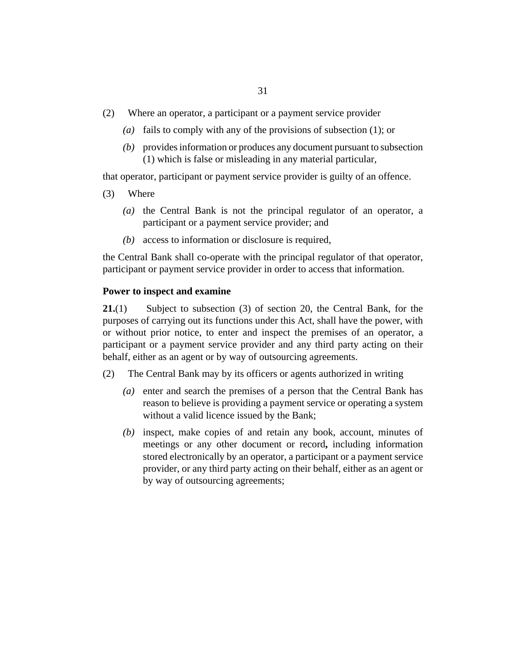- <span id="page-30-0"></span>Where an operator, a participant or a payment service provider (2)
	- (a) fails to comply with any of the provisions of subsection  $(1)$ ; or
	- provides information or produces any document pursuant to subsection *(b)* (1) which is false or misleading in any material particular,

that operator, participant or payment service provider is guilty of an offence.

- Where (3)
	- ( $a$ ) the Central Bank is not the principal regulator of an operator, a participant or a payment service provider; and
	- (b) access to information or disclosure is required,

the Central Bank shall co-operate with the principal regulator of that operator, participant or payment service provider in order to access that information.

### **Power to inspect and examine**

Subject to subsection (3) of section 20, the Central Bank, for the purposes of carrying out its functions under this Act, shall have the power, with or without prior notice, to enter and inspect the premises of an operator, a participant or a payment service provider and any third party acting on their behalf, either as an agent or by way of outsourcing agreements. **21.**(1)

- The Central Bank may by its officers or agents authorized in writing (2)
	- (a) enter and search the premises of a person that the Central Bank has reason to believe is providing a payment service or operating a system without a valid licence issued by the Bank;
	- (b) inspect, make copies of and retain any book, account, minutes of meetings or any other document or record**,** including information stored electronically by an operator, a participant or a payment service provider, or any third party acting on their behalf, either as an agent or by way of outsourcing agreements;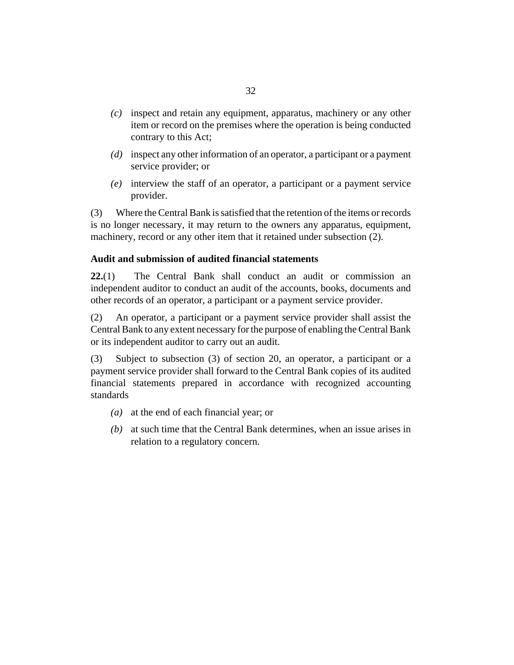- <span id="page-31-0"></span>inspect and retain any equipment, apparatus, machinery or any other *(c)* item or record on the premises where the operation is being conducted contrary to this Act;
- (d) inspect any other information of an operator, a participant or a payment service provider; or
- interview the staff of an operator, a participant or a payment service *(e)* provider.

Where the Central Bank is satisfied that the retention of the items or records is no longer necessary, it may return to the owners any apparatus, equipment, machinery, record or any other item that it retained under subsection (2). (3)

## **Audit and submission of audited financial statements**

The Central Bank shall conduct an audit or commission an independent auditor to conduct an audit of the accounts, books, documents and other records of an operator, a participant or a payment service provider. **22.**(1)

An operator, a participant or a payment service provider shall assist the Central Bank to any extent necessary for the purpose of enabling the Central Bank or its independent auditor to carry out an audit. (2)

Subject to subsection (3) of section 20, an operator, a participant or a payment service provider shall forward to the Central Bank copies of its audited financial statements prepared in accordance with recognized accounting standards (3)

- at the end of each financial year; or *(a)*
- at such time that the Central Bank determines, when an issue arises in *(b)* relation to a regulatory concern.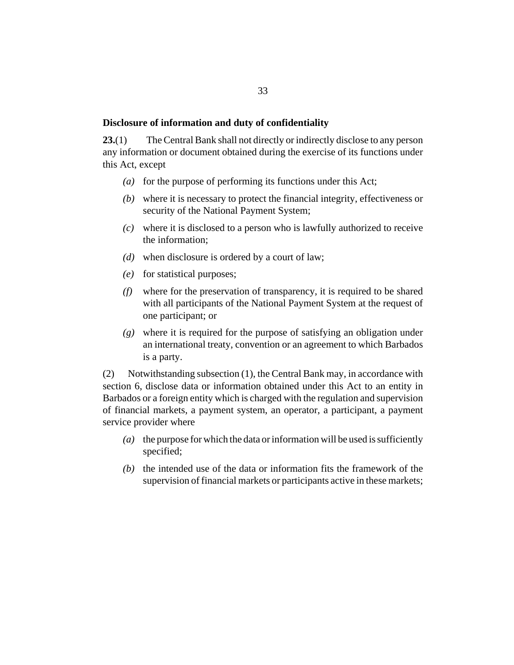### <span id="page-32-0"></span>**Disclosure of information and duty of confidentiality**

The Central Bank shall not directly or indirectly disclose to any person any information or document obtained during the exercise of its functions under this Act, except **23.**(1)

- (a) for the purpose of performing its functions under this Act;
- where it is necessary to protect the financial integrity, effectiveness or *(b)* security of the National Payment System;
- where it is disclosed to a person who is lawfully authorized to receive *(c)* the information;
- when disclosure is ordered by a court of law; *(d)*
- *(e)* for statistical purposes;
- where for the preservation of transparency, it is required to be shared *(f)* with all participants of the National Payment System at the request of one participant; or
- where it is required for the purpose of satisfying an obligation under *(g)* an international treaty, convention or an agreement to which Barbados is a party.

Notwithstanding subsection (1), the Central Bank may, in accordance with section 6, disclose data or information obtained under this Act to an entity in Barbados or a foreign entity which is charged with the regulation and supervision of financial markets, a payment system, an operator, a participant, a payment service provider where (2)

- the purpose for which the data or information will be used is sufficiently *(a)* specified;
- $(b)$  the intended use of the data or information fits the framework of the supervision of financial markets or participants active in these markets;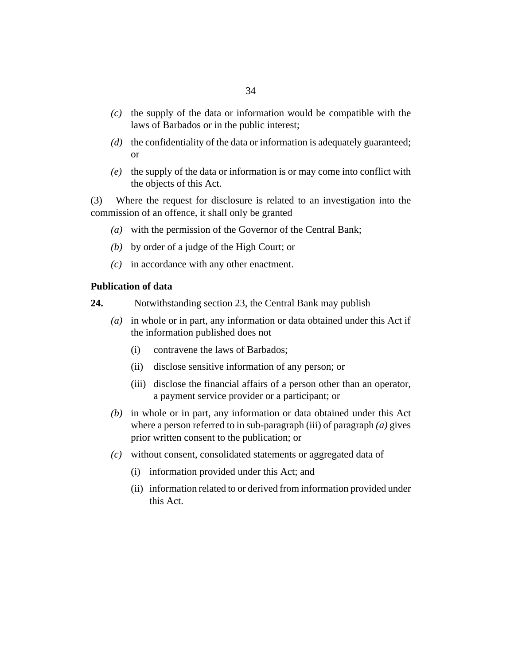- <span id="page-33-0"></span> $\alpha(c)$  the supply of the data or information would be compatible with the laws of Barbados or in the public interest;
- (d) the confidentiality of the data or information is adequately guaranteed; or
- $(e)$  the supply of the data or information is or may come into conflict with the objects of this Act.

Where the request for disclosure is related to an investigation into the commission of an offence, it shall only be granted (3)

- with the permission of the Governor of the Central Bank; *(a)*
- by order of a judge of the High Court; or *(b)*
- $(c)$  in accordance with any other enactment.

## **Publication of data**

- Notwithstanding section 23, the Central Bank may publish **24.**
	- in whole or in part, any information or data obtained under this Act if *(a)* the information published does not
		- contravene the laws of Barbados; (i)
		- (ii) disclose sensitive information of any person; or
		- (iii) disclose the financial affairs of a person other than an operator, a payment service provider or a participant; or
	- (b) in whole or in part, any information or data obtained under this Act where a person referred to in sub-paragraph (iii) of paragraph *(a)* gives prior written consent to the publication; or
	- without consent, consolidated statements or aggregated data of *(c)*
		- (i) information provided under this Act; and
		- (ii) information related to or derived from information provided under this Act.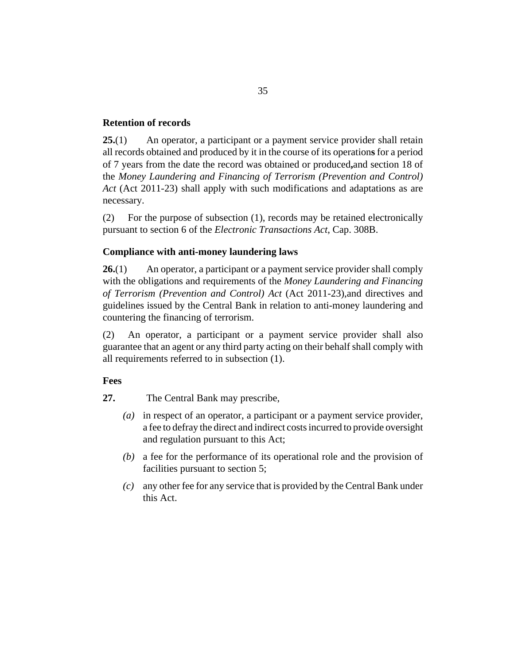## <span id="page-34-0"></span>**Retention of records**

An operator, a participant or a payment service provider shall retain all records obtained and produced by it in the course of its operation**s** for a period of 7 years from the date the record was obtained or produced**,**and section 18 of the *[Money Laundering and Financing of Terrorism \(Prevention and Control\)](http://barbadosparliament-laws.com/en/showdoc/cs/2011_23) Act* [\(Act 2011-23\)](http://barbadosparliament-laws.com/en/showdoc/cs/2011_23) shall apply with such modifications and adaptations as are necessary. **25.**(1)

For the purpose of subsection (1), records may be retained electronically pursuant to section 6 of the *[Electronic Transactions Act](http://barbadosparliament-laws.com/en/showdoc/cs/308B)*, Cap. 308B. (2)

## **Compliance with anti-money laundering laws**

An operator, a participant or a payment service provider shall comply with the obligations and requirements of the *[Money Laundering and Financing](http://barbadosparliament-laws.com/en/showdoc/cs/2011_23) [of Terrorism \(Prevention and Control\) Act](http://barbadosparliament-laws.com/en/showdoc/cs/2011_23)* (Act 2011-23),and directives and guidelines issued by the Central Bank in relation to anti-money laundering and countering the financing of terrorism. **26.**(1)

An operator, a participant or a payment service provider shall also guarantee that an agent or any third party acting on their behalf shall comply with all requirements referred to in subsection (1). (2)

#### **Fees**

The Central Bank may prescribe, **27.**

- (a) in respect of an operator, a participant or a payment service provider, a fee to defray the direct and indirect costs incurred to provide oversight and regulation pursuant to this Act;
- a fee for the performance of its operational role and the provision of *(b)* facilities pursuant to section 5;
- any other fee for any service that is provided by the Central Bank under *(c)* this Act.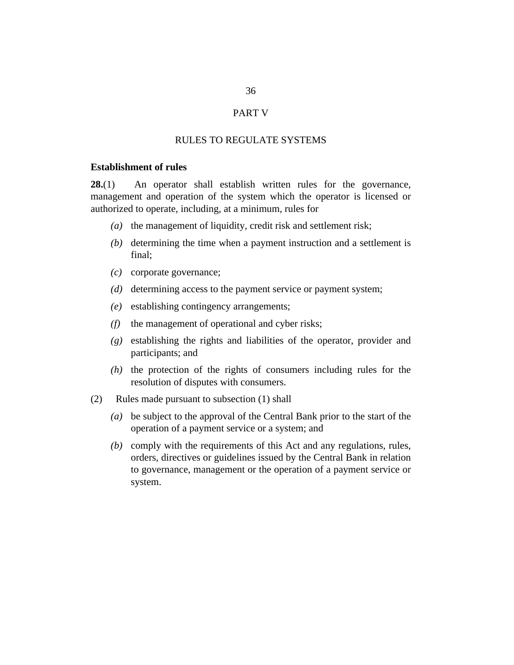#### PART V

#### RULES TO REGULATE SYSTEMS

## <span id="page-35-0"></span>**Establishment of rules**

An operator shall establish written rules for the governance, management and operation of the system which the operator is licensed or authorized to operate, including, at a minimum, rules for **28.**(1)

- (a) the management of liquidity, credit risk and settlement risk;
- $(b)$  determining the time when a payment instruction and a settlement is final;
- corporate governance; *(c)*
- (d) determining access to the payment service or payment system;
- establishing contingency arrangements; *(e)*
- (f) the management of operational and cyber risks;
- establishing the rights and liabilities of the operator, provider and *(g)* participants; and
- $(h)$  the protection of the rights of consumers including rules for the resolution of disputes with consumers.
- Rules made pursuant to subsection (1) shall (2)
	- be subject to the approval of the Central Bank prior to the start of the *(a)* operation of a payment service or a system; and
	- (b) comply with the requirements of this Act and any regulations, rules, orders, directives or guidelines issued by the Central Bank in relation to governance, management or the operation of a payment service or system.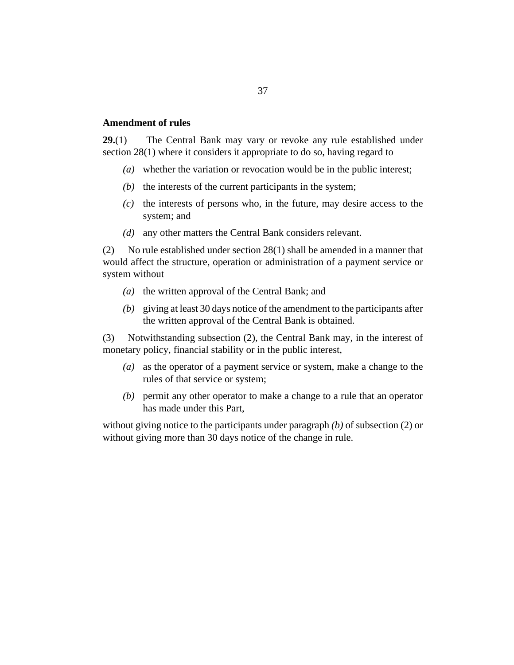#### <span id="page-36-0"></span>**Amendment of rules**

The Central Bank may vary or revoke any rule established under section 28(1) where it considers it appropriate to do so, having regard to **29.**(1)

- whether the variation or revocation would be in the public interest; *(a)*
- $(t)$  the interests of the current participants in the system;
- $(c)$  the interests of persons who, in the future, may desire access to the system; and
- (d) any other matters the Central Bank considers relevant.

No rule established under section 28(1) shall be amended in a manner that would affect the structure, operation or administration of a payment service or system without (2)

- $(a)$  the written approval of the Central Bank; and
- giving at least 30 days notice of the amendment to the participants after *(b)* the written approval of the Central Bank is obtained.

Notwithstanding subsection (2), the Central Bank may, in the interest of monetary policy, financial stability or in the public interest, (3)

- as the operator of a payment service or system, make a change to the *(a)* rules of that service or system;
- permit any other operator to make a change to a rule that an operator *(b)* has made under this Part,

without giving notice to the participants under paragraph *(b)* of subsection (2) or without giving more than 30 days notice of the change in rule.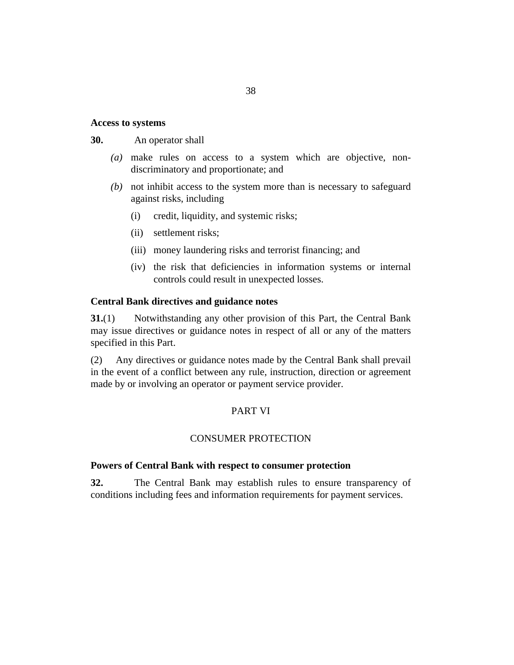## <span id="page-37-0"></span>**Access to systems**

An operator shall **30.**

- make rules on access to a system which are objective, non-*(a)* discriminatory and proportionate; and
- not inhibit access to the system more than is necessary to safeguard *(b)* against risks, including
	- credit, liquidity, and systemic risks; (i)
	- (ii) settlement risks;
	- (iii) money laundering risks and terrorist financing; and
	- (iv) the risk that deficiencies in information systems or internal controls could result in unexpected losses.

#### **Central Bank directives and guidance notes**

Notwithstanding any other provision of this Part, the Central Bank may issue directives or guidance notes in respect of all or any of the matters specified in this Part. **31.**(1)

Any directives or guidance notes made by the Central Bank shall prevail in the event of a conflict between any rule, instruction, direction or agreement made by or involving an operator or payment service provider. (2)

## PART VI

#### CONSUMER PROTECTION

#### **Powers of Central Bank with respect to consumer protection**

The Central Bank may establish rules to ensure transparency of conditions including fees and information requirements for payment services. **32.**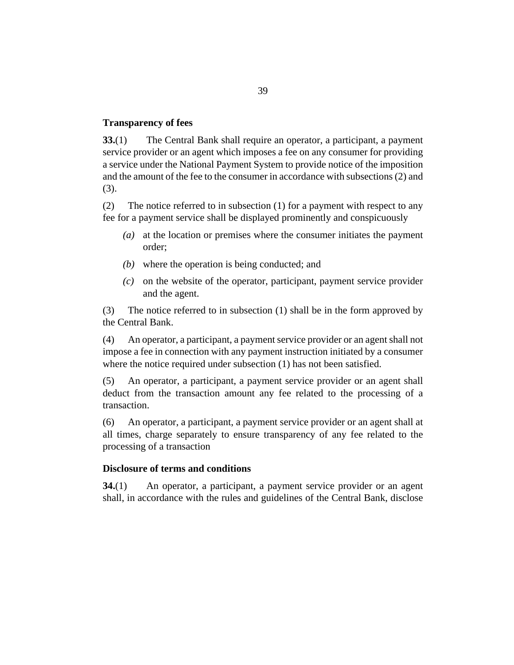#### <span id="page-38-0"></span>**Transparency of fees**

The Central Bank shall require an operator, a participant, a payment service provider or an agent which imposes a fee on any consumer for providing a service under the National Payment System to provide notice of the imposition and the amount of the fee to the consumer in accordance with subsections (2) and (3). **33.**(1)

The notice referred to in subsection (1) for a payment with respect to any fee for a payment service shall be displayed prominently and conspicuously (2)

- at the location or premises where the consumer initiates the payment *(a)* order;
- where the operation is being conducted; and *(b)*
- (c) on the website of the operator, participant, payment service provider and the agent.

The notice referred to in subsection (1) shall be in the form approved by the Central Bank. (3)

An operator, a participant, a payment service provider or an agent shall not impose a fee in connection with any payment instruction initiated by a consumer where the notice required under subsection (1) has not been satisfied. (4)

An operator, a participant, a payment service provider or an agent shall deduct from the transaction amount any fee related to the processing of a transaction. (5)

An operator, a participant, a payment service provider or an agent shall at all times, charge separately to ensure transparency of any fee related to the processing of a transaction (6)

#### **Disclosure of terms and conditions**

An operator, a participant, a payment service provider or an agent shall, in accordance with the rules and guidelines of the Central Bank, disclose **34.**(1)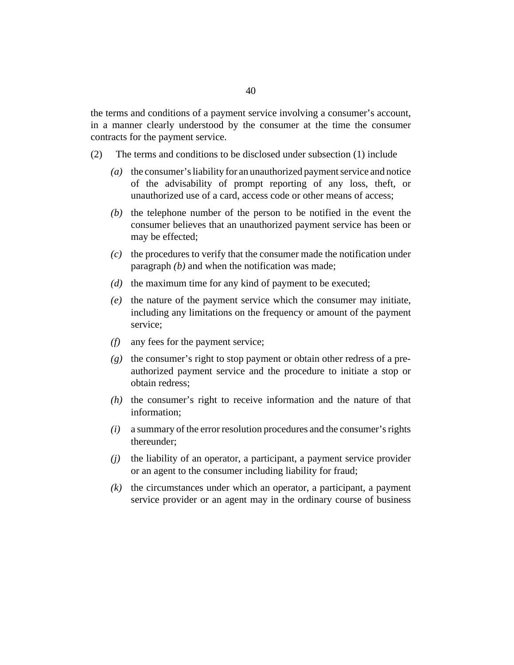the terms and conditions of a payment service involving a consumer's account, in a manner clearly understood by the consumer at the time the consumer contracts for the payment service.

- The terms and conditions to be disclosed under subsection (1) include (2)
	- (a) the consumer's liability for an unauthorized payment service and notice of the advisability of prompt reporting of any loss, theft, or unauthorized use of a card, access code or other means of access;
	- $(b)$  the telephone number of the person to be notified in the event the consumer believes that an unauthorized payment service has been or may be effected;
	- $\alpha$  the procedures to verify that the consumer made the notification under paragraph *(b)* and when the notification was made;
	- $(d)$  the maximum time for any kind of payment to be executed;
	- $(e)$  the nature of the payment service which the consumer may initiate, including any limitations on the frequency or amount of the payment service;
	- any fees for the payment service; *(f)*
	- (g) the consumer's right to stop payment or obtain other redress of a preauthorized payment service and the procedure to initiate a stop or obtain redress;
	- $(h)$  the consumer's right to receive information and the nature of that information;
	- a summary of the error resolution procedures and the consumer's rights *(i)* thereunder;
	- the liability of an operator, a participant, a payment service provider or an agent to the consumer including liability for fraud; *(j)*
	- $(k)$  the circumstances under which an operator, a participant, a payment service provider or an agent may in the ordinary course of business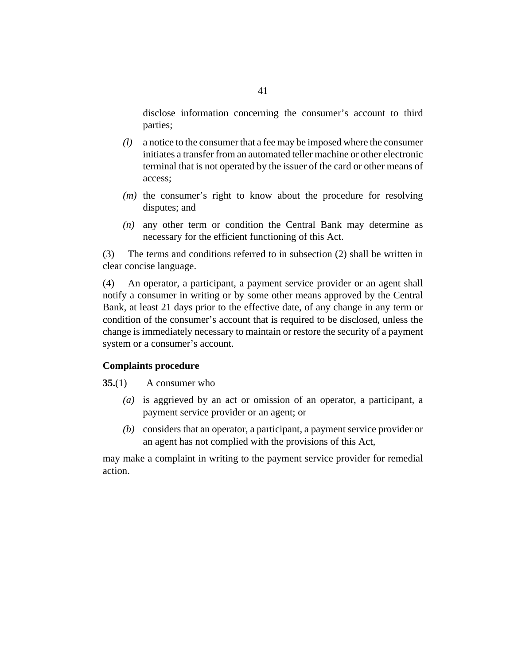<span id="page-40-0"></span>disclose information concerning the consumer's account to third parties;

- a notice to the consumer that a fee may be imposed where the consumer *(l)* initiates a transfer from an automated teller machine or other electronic terminal that is not operated by the issuer of the card or other means of access;
- $(m)$  the consumer's right to know about the procedure for resolving disputes; and
- $(n)$  any other term or condition the Central Bank may determine as necessary for the efficient functioning of this Act.

The terms and conditions referred to in subsection (2) shall be written in clear concise language. (3)

An operator, a participant, a payment service provider or an agent shall notify a consumer in writing or by some other means approved by the Central Bank, at least 21 days prior to the effective date, of any change in any term or condition of the consumer's account that is required to be disclosed, unless the change is immediately necessary to maintain or restore the security of a payment system or a consumer's account. (4)

## **Complaints procedure**

A consumer who **35.**(1)

- (a) is aggrieved by an act or omission of an operator, a participant, a payment service provider or an agent; or
- (b) considers that an operator, a participant, a payment service provider or an agent has not complied with the provisions of this Act,

may make a complaint in writing to the payment service provider for remedial action.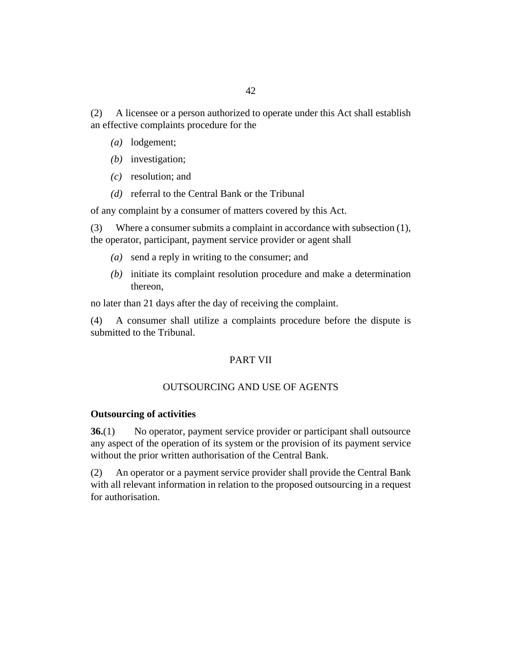<span id="page-41-0"></span>A licensee or a person authorized to operate under this Act shall establish an effective complaints procedure for the (2)

- (a) lodgement;
- (b) investigation;
- resolution; and *(c)*
- (d) referral to the Central Bank or the Tribunal

of any complaint by a consumer of matters covered by this Act.

Where a consumer submits a complaint in accordance with subsection (1), the operator, participant, payment service provider or agent shall (3)

- send a reply in writing to the consumer; and *(a)*
- (b) initiate its complaint resolution procedure and make a determination thereon,

no later than 21 days after the day of receiving the complaint.

A consumer shall utilize a complaints procedure before the dispute is submitted to the Tribunal. (4)

## PART VII

#### OUTSOURCING AND USE OF AGENTS

#### **Outsourcing of activities**

No operator, payment service provider or participant shall outsource any aspect of the operation of its system or the provision of its payment service without the prior written authorisation of the Central Bank. **36.**(1)

An operator or a payment service provider shall provide the Central Bank with all relevant information in relation to the proposed outsourcing in a request for authorisation. (2)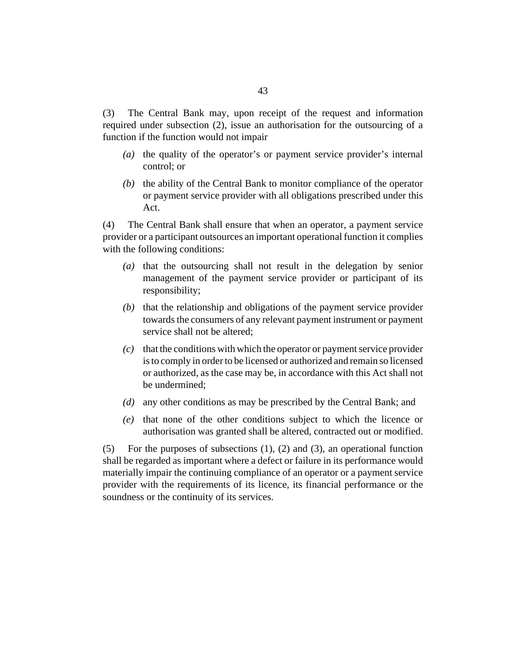The Central Bank may, upon receipt of the request and information required under subsection (2), issue an authorisation for the outsourcing of a function if the function would not impair (3)

- (a) the quality of the operator's or payment service provider's internal control; or
- $(b)$  the ability of the Central Bank to monitor compliance of the operator or payment service provider with all obligations prescribed under this Act.

The Central Bank shall ensure that when an operator, a payment service provider or a participant outsources an important operational function it complies with the following conditions: (4)

- (a) that the outsourcing shall not result in the delegation by senior management of the payment service provider or participant of its responsibility;
- (b) that the relationship and obligations of the payment service provider towards the consumers of any relevant payment instrument or payment service shall not be altered;
- (c) that the conditions with which the operator or payment service provider is to comply in order to be licensed or authorized and remain so licensed or authorized, as the case may be, in accordance with this Act shall not be undermined;
- any other conditions as may be prescribed by the Central Bank; and *(d)*
- (e) that none of the other conditions subject to which the licence or authorisation was granted shall be altered, contracted out or modified.

For the purposes of subsections (1), (2) and (3), an operational function shall be regarded as important where a defect or failure in its performance would materially impair the continuing compliance of an operator or a payment service provider with the requirements of its licence, its financial performance or the soundness or the continuity of its services. (5)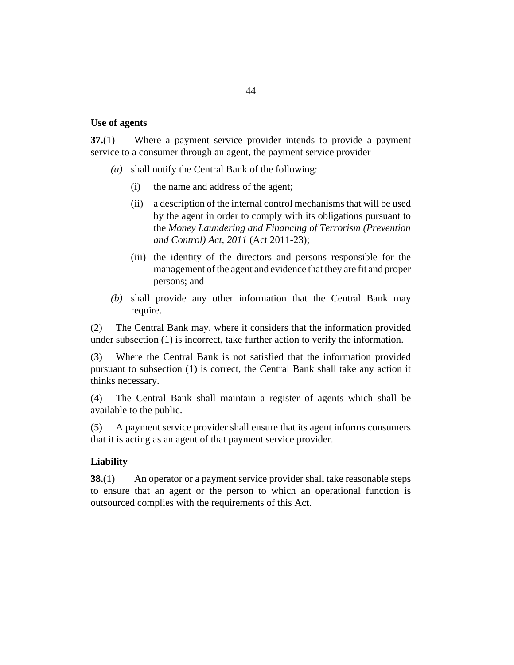#### <span id="page-43-0"></span>**Use of agents**

Where a payment service provider intends to provide a payment service to a consumer through an agent, the payment service provider **37.**(1)

- shall notify the Central Bank of the following: *(a)*
	- the name and address of the agent; (i)
	- a description of the internal control mechanisms that will be used by the agent in order to comply with its obligations pursuant to the *[Money Laundering and Financing of Terrorism \(Prevention](http://barbadosparliament-laws.com/en/showdoc/cs/2011_23) [and Control\) Act, 2011](http://barbadosparliament-laws.com/en/showdoc/cs/2011_23)* (Act 2011-23); (ii)
	- (iii) the identity of the directors and persons responsible for the management of the agent and evidence that they are fit and proper persons; and
- shall provide any other information that the Central Bank may *(b)* require.

The Central Bank may, where it considers that the information provided under subsection (1) is incorrect, take further action to verify the information. (2)

Where the Central Bank is not satisfied that the information provided pursuant to subsection (1) is correct, the Central Bank shall take any action it thinks necessary. (3)

The Central Bank shall maintain a register of agents which shall be available to the public. (4)

A payment service provider shall ensure that its agent informs consumers that it is acting as an agent of that payment service provider. (5)

### **Liability**

An operator or a payment service provider shall take reasonable steps to ensure that an agent or the person to which an operational function is outsourced complies with the requirements of this Act. **38.**(1)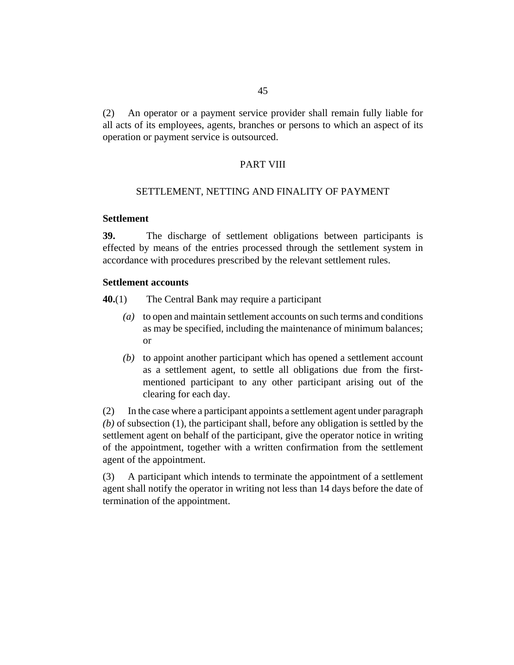<span id="page-44-0"></span>An operator or a payment service provider shall remain fully liable for all acts of its employees, agents, branches or persons to which an aspect of its operation or payment service is outsourced. (2)

#### PART VIII

#### SETTLEMENT, NETTING AND FINALITY OF PAYMENT

### **Settlement**

The discharge of settlement obligations between participants is effected by means of the entries processed through the settlement system in accordance with procedures prescribed by the relevant settlement rules. **39.**

#### **Settlement accounts**

- The Central Bank may require a participant **40.**(1)
	- to open and maintain settlement accounts on such terms and conditions *(a)* as may be specified, including the maintenance of minimum balances; or
	- (b) to appoint another participant which has opened a settlement account as a settlement agent, to settle all obligations due from the firstmentioned participant to any other participant arising out of the clearing for each day.

In the case where a participant appoints a settlement agent under paragraph *(b)* of subsection (1), the participant shall, before any obligation is settled by the settlement agent on behalf of the participant, give the operator notice in writing of the appointment, together with a written confirmation from the settlement agent of the appointment. (2)

A participant which intends to terminate the appointment of a settlement agent shall notify the operator in writing not less than 14 days before the date of termination of the appointment. (3)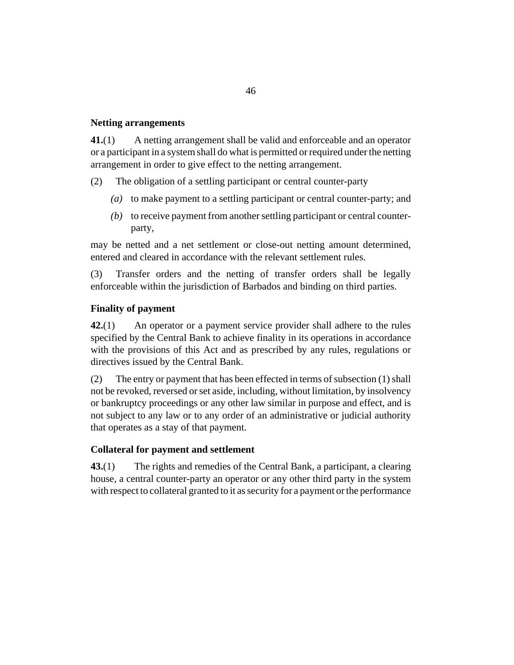## <span id="page-45-0"></span>**Netting arrangements**

A netting arrangement shall be valid and enforceable and an operator or a participant in a system shall do what is permitted or required under the netting arrangement in order to give effect to the netting arrangement. **41.**(1)

The obligation of a settling participant or central counter-party (2)

- (a) to make payment to a settling participant or central counter-party; and
- (b) to receive payment from another settling participant or central counterparty,

may be netted and a net settlement or close-out netting amount determined, entered and cleared in accordance with the relevant settlement rules.

Transfer orders and the netting of transfer orders shall be legally enforceable within the jurisdiction of Barbados and binding on third parties. (3)

## **Finality of payment**

An operator or a payment service provider shall adhere to the rules specified by the Central Bank to achieve finality in its operations in accordance with the provisions of this Act and as prescribed by any rules, regulations or directives issued by the Central Bank. **42.**(1)

The entry or payment that has been effected in terms of subsection (1) shall not be revoked, reversed or set aside, including, without limitation, by insolvency or bankruptcy proceedings or any other law similar in purpose and effect, and is not subject to any law or to any order of an administrative or judicial authority that operates as a stay of that payment. (2)

## **Collateral for payment and settlement**

The rights and remedies of the Central Bank, a participant, a clearing house, a central counter-party an operator or any other third party in the system with respect to collateral granted to it as security for a payment or the performance **43.**(1)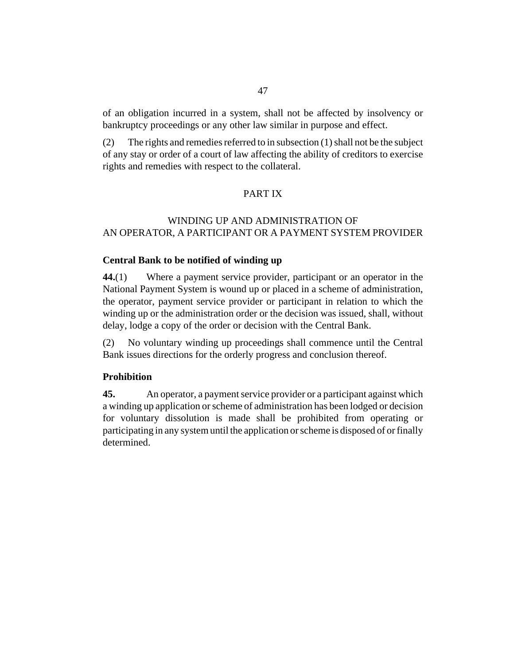<span id="page-46-0"></span>of an obligation incurred in a system, shall not be affected by insolvency or bankruptcy proceedings or any other law similar in purpose and effect.

The rights and remedies referred to in subsection (1) shall not be the subject of any stay or order of a court of law affecting the ability of creditors to exercise rights and remedies with respect to the collateral. (2)

## PART IX

## WINDING UP AND ADMINISTRATION OF AN OPERATOR, A PARTICIPANT OR A PAYMENT SYSTEM PROVIDER

### **Central Bank to be notified of winding up**

Where a payment service provider, participant or an operator in the National Payment System is wound up or placed in a scheme of administration, the operator, payment service provider or participant in relation to which the winding up or the administration order or the decision was issued, shall, without delay, lodge a copy of the order or decision with the Central Bank. **44.**(1)

No voluntary winding up proceedings shall commence until the Central Bank issues directions for the orderly progress and conclusion thereof. (2)

#### **Prohibition**

An operator, a payment service provider or a participant against which a winding up application or scheme of administration has been lodged or decision for voluntary dissolution is made shall be prohibited from operating or participating in any system until the application or scheme is disposed of or finally determined. **45.**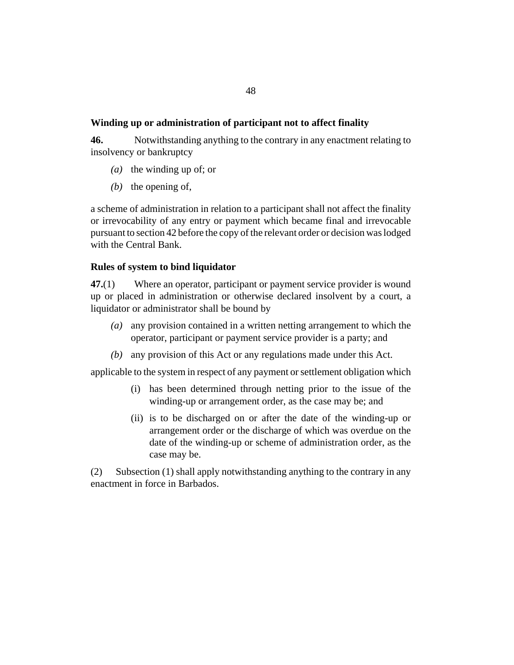### <span id="page-47-0"></span>**Winding up or administration of participant not to affect finality**

Notwithstanding anything to the contrary in any enactment relating to insolvency or bankruptcy **46.**

- (a) the winding up of; or
- $(b)$  the opening of,

a scheme of administration in relation to a participant shall not affect the finality or irrevocability of any entry or payment which became final and irrevocable pursuant to section 42 before the copy of the relevant order or decision was lodged with the Central Bank.

## **Rules of system to bind liquidator**

Where an operator, participant or payment service provider is wound up or placed in administration or otherwise declared insolvent by a court, a liquidator or administrator shall be bound by **47.**(1)

- any provision contained in a written netting arrangement to which the *(a)* operator, participant or payment service provider is a party; and
- any provision of this Act or any regulations made under this Act. *(b)*

applicable to the system in respect of any payment or settlement obligation which

- (i) has been determined through netting prior to the issue of the winding-up or arrangement order, as the case may be; and
- (ii) is to be discharged on or after the date of the winding-up or arrangement order or the discharge of which was overdue on the date of the winding-up or scheme of administration order, as the case may be.

Subsection (1) shall apply notwithstanding anything to the contrary in any enactment in force in Barbados. (2)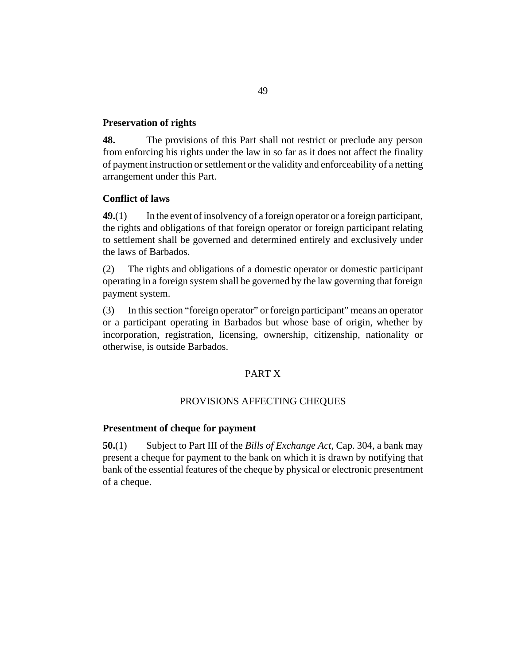#### <span id="page-48-0"></span>**Preservation of rights**

The provisions of this Part shall not restrict or preclude any person from enforcing his rights under the law in so far as it does not affect the finality of payment instruction or settlement or the validity and enforceability of a netting arrangement under this Part. **48.**

## **Conflict of laws**

In the event of insolvency of a foreign operator or a foreign participant, the rights and obligations of that foreign operator or foreign participant relating to settlement shall be governed and determined entirely and exclusively under the laws of Barbados. **49.**(1)

The rights and obligations of a domestic operator or domestic participant operating in a foreign system shall be governed by the law governing that foreign payment system. (2)

In this section "foreign operator" or foreign participant" means an operator or a participant operating in Barbados but whose base of origin, whether by incorporation, registration, licensing, ownership, citizenship, nationality or otherwise, is outside Barbados. (3)

## PART X

#### PROVISIONS AFFECTING CHEQUES

#### **Presentment of cheque for payment**

Subject to Part III of the *[Bills of Exchange Act](http://barbadosparliament-laws.com/en/showdoc/cs/304)*, Cap. 304, a bank may present a cheque for payment to the bank on which it is drawn by notifying that bank of the essential features of the cheque by physical or electronic presentment of a cheque. **50.**(1)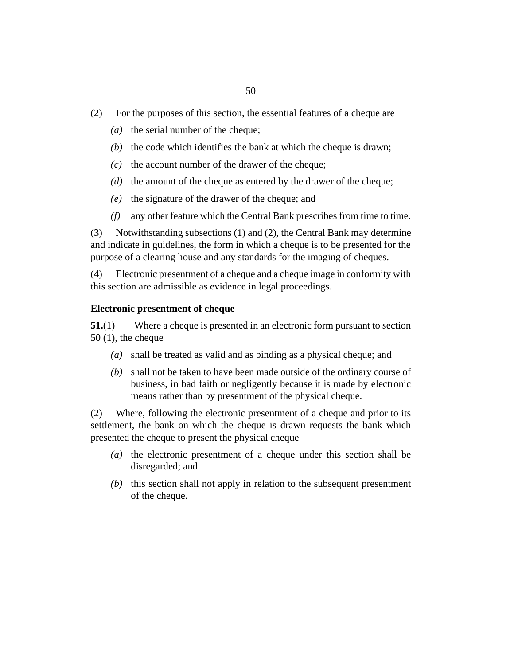- <span id="page-49-0"></span>For the purposes of this section, the essential features of a cheque are (2)
	- ( $a$ ) the serial number of the cheque;
	- $(b)$  the code which identifies the bank at which the cheque is drawn;
	- $(c)$  the account number of the drawer of the cheque;
	- $(d)$  the amount of the cheque as entered by the drawer of the cheque;
	- $(e)$  the signature of the drawer of the cheque; and
	- any other feature which the Central Bank prescribes from time to time. *(f)*

Notwithstanding subsections (1) and (2), the Central Bank may determine and indicate in guidelines, the form in which a cheque is to be presented for the purpose of a clearing house and any standards for the imaging of cheques. (3)

Electronic presentment of a cheque and a cheque image in conformity with this section are admissible as evidence in legal proceedings. (4)

#### **Electronic presentment of cheque**

Where a cheque is presented in an electronic form pursuant to section 50 (1), the cheque **51.**(1)

- shall be treated as valid and as binding as a physical cheque; and *(a)*
- shall not be taken to have been made outside of the ordinary course of *(b)* business, in bad faith or negligently because it is made by electronic means rather than by presentment of the physical cheque.

Where, following the electronic presentment of a cheque and prior to its settlement, the bank on which the cheque is drawn requests the bank which presented the cheque to present the physical cheque (2)

- (a) the electronic presentment of a cheque under this section shall be disregarded; and
- $(b)$  this section shall not apply in relation to the subsequent presentment of the cheque.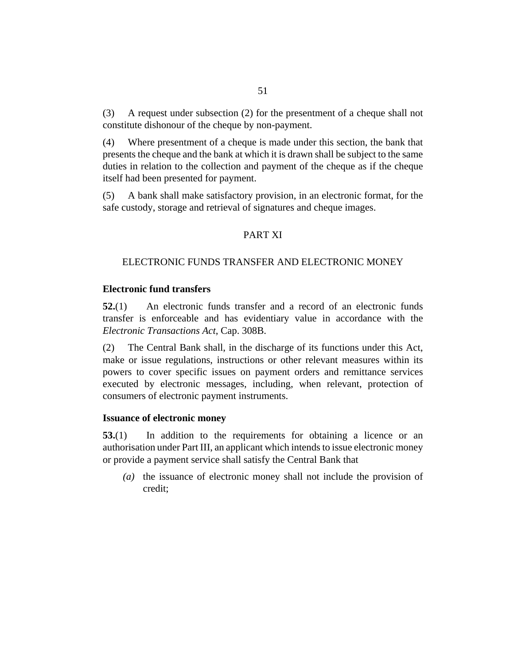<span id="page-50-0"></span>A request under subsection (2) for the presentment of a cheque shall not constitute dishonour of the cheque by non-payment. (3)

Where presentment of a cheque is made under this section, the bank that presents the cheque and the bank at which it is drawn shall be subject to the same duties in relation to the collection and payment of the cheque as if the cheque itself had been presented for payment. (4)

A bank shall make satisfactory provision, in an electronic format, for the safe custody, storage and retrieval of signatures and cheque images. (5)

### PART XI

#### ELECTRONIC FUNDS TRANSFER AND ELECTRONIC MONEY

#### **Electronic fund transfers**

An electronic funds transfer and a record of an electronic funds transfer is enforceable and has evidentiary value in accordance with the *[Electronic Transactions Act](http://barbadosparliament-laws.com/en/showdoc/cs/308B)*, Cap. 308B. **52.**(1)

The Central Bank shall, in the discharge of its functions under this Act, make or issue regulations, instructions or other relevant measures within its powers to cover specific issues on payment orders and remittance services executed by electronic messages, including, when relevant, protection of consumers of electronic payment instruments. (2)

#### **Issuance of electronic money**

In addition to the requirements for obtaining a licence or an authorisation under Part III, an applicant which intends to issue electronic money or provide a payment service shall satisfy the Central Bank that **53.**(1)

(a) the issuance of electronic money shall not include the provision of credit;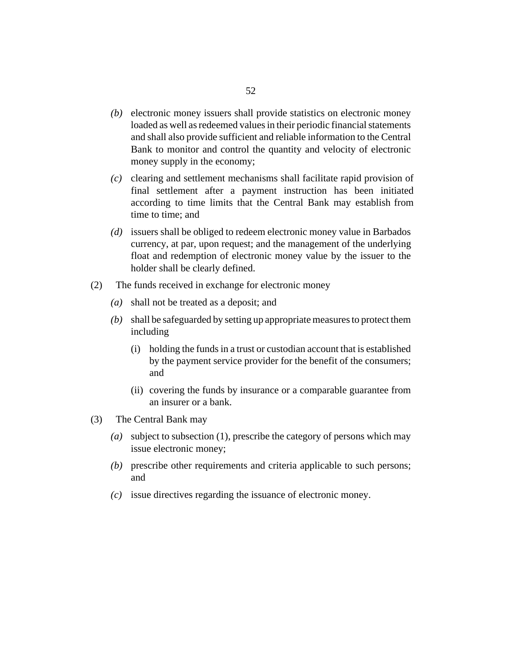- (b) electronic money issuers shall provide statistics on electronic money loaded as well as redeemed values in their periodic financial statements and shall also provide sufficient and reliable information to the Central Bank to monitor and control the quantity and velocity of electronic money supply in the economy;
- (c) clearing and settlement mechanisms shall facilitate rapid provision of final settlement after a payment instruction has been initiated according to time limits that the Central Bank may establish from time to time; and
- issuers shall be obliged to redeem electronic money value in Barbados *(d)* currency, at par, upon request; and the management of the underlying float and redemption of electronic money value by the issuer to the holder shall be clearly defined.
- The funds received in exchange for electronic money (2)
	- shall not be treated as a deposit; and *(a)*
	- shall be safeguarded by setting up appropriate measures to protect them *(b)* including
		- holding the funds in a trust or custodian account that is established (i) by the payment service provider for the benefit of the consumers; and
		- (ii) covering the funds by insurance or a comparable guarantee from an insurer or a bank.
- The Central Bank may (3)
	- subject to subsection (1), prescribe the category of persons which may *(a)* issue electronic money;
	- (b) prescribe other requirements and criteria applicable to such persons; and
	- issue directives regarding the issuance of electronic money. *(c)*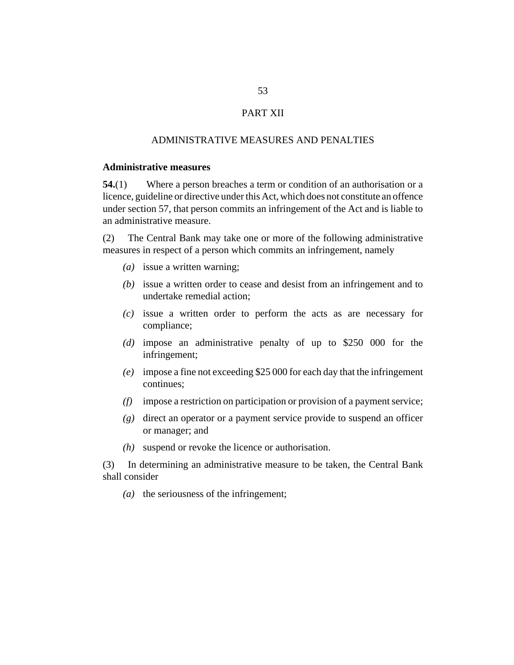## PART XII

#### ADMINISTRATIVE MEASURES AND PENALTIES

## <span id="page-52-0"></span>**Administrative measures**

Where a person breaches a term or condition of an authorisation or a licence, guideline or directive under this Act, which does not constitute an offence under section 57, that person commits an infringement of the Act and is liable to an administrative measure. **54.**(1)

The Central Bank may take one or more of the following administrative measures in respect of a person which commits an infringement, namely (2)

- (a) issue a written warning;
- (b) issue a written order to cease and desist from an infringement and to undertake remedial action;
- issue a written order to perform the acts as are necessary for *(c)* compliance;
- impose an administrative penalty of up to \$250 000 for the *(d)* infringement;
- impose a fine not exceeding \$25 000 for each day that the infringement *(e)* continues;
- impose a restriction on participation or provision of a payment service; *(f)*
- direct an operator or a payment service provide to suspend an officer *(g)* or manager; and
- suspend or revoke the licence or authorisation. *(h)*

In determining an administrative measure to be taken, the Central Bank shall consider (3)

( $a$ ) the seriousness of the infringement;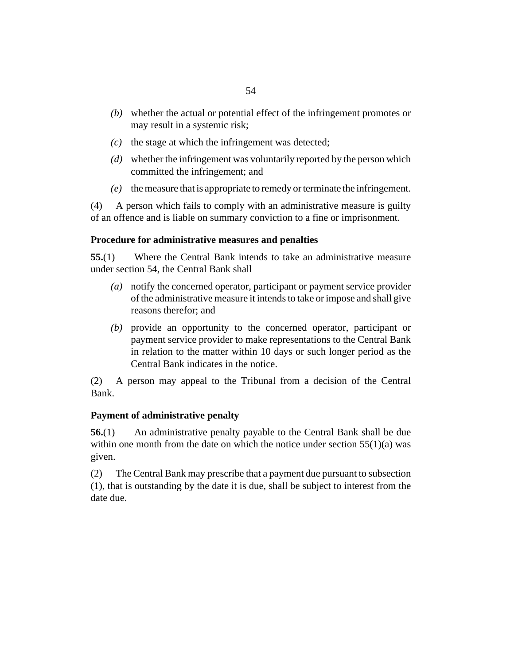- <span id="page-53-0"></span>whether the actual or potential effect of the infringement promotes or *(b)* may result in a systemic risk;
- $(c)$  the stage at which the infringement was detected;
- whether the infringement was voluntarily reported by the person which *(d)* committed the infringement; and
- the measure that is appropriate to remedy or terminate the infringement. *(e)*

A person which fails to comply with an administrative measure is guilty of an offence and is liable on summary conviction to a fine or imprisonment. (4)

#### **Procedure for administrative measures and penalties**

Where the Central Bank intends to take an administrative measure under section 54, the Central Bank shall **55.**(1)

- notify the concerned operator, participant or payment service provider *(a)* of the administrative measure it intends to take or impose and shall give reasons therefor; and
- (b) provide an opportunity to the concerned operator, participant or payment service provider to make representations to the Central Bank in relation to the matter within 10 days or such longer period as the Central Bank indicates in the notice.

A person may appeal to the Tribunal from a decision of the Central Bank. (2)

#### **Payment of administrative penalty**

An administrative penalty payable to the Central Bank shall be due within one month from the date on which the notice under section  $55(1)(a)$  was given. **56.**(1)

The Central Bank may prescribe that a payment due pursuant to subsection (1), that is outstanding by the date it is due, shall be subject to interest from the date due. (2)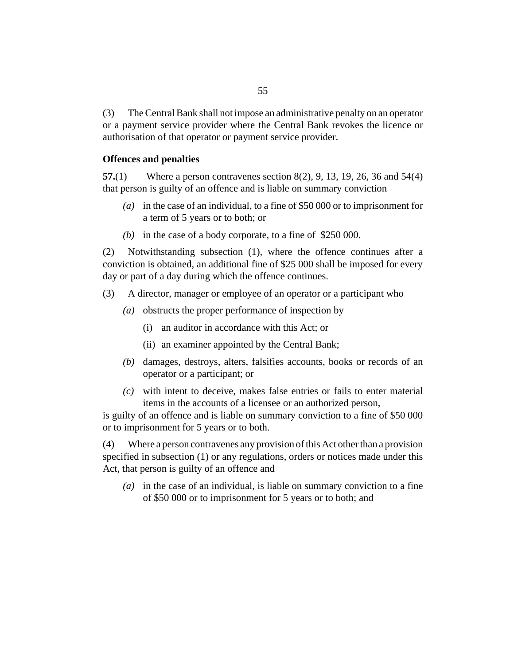<span id="page-54-0"></span>The Central Bank shall not impose an administrative penalty on an operator or a payment service provider where the Central Bank revokes the licence or authorisation of that operator or payment service provider. (3)

#### **Offences and penalties**

Where a person contravenes section 8(2), 9, 13, 19, 26, 36 and 54(4) that person is guilty of an offence and is liable on summary conviction **57.**(1)

- in the case of an individual, to a fine of \$50 000 or to imprisonment for *(a)* a term of 5 years or to both; or
- (b) in the case of a body corporate, to a fine of  $$250,000$ .

Notwithstanding subsection (1), where the offence continues after a conviction is obtained, an additional fine of \$25 000 shall be imposed for every day or part of a day during which the offence continues. (2)

A director, manager or employee of an operator or a participant who (3)

- (a) obstructs the proper performance of inspection by
	- an auditor in accordance with this Act; or (i)
	- (ii) an examiner appointed by the Central Bank;
- (b) damages, destroys, alters, falsifies accounts, books or records of an operator or a participant; or
- with intent to deceive, makes false entries or fails to enter material *(c)* items in the accounts of a licensee or an authorized person,

is guilty of an offence and is liable on summary conviction to a fine of \$50 000 or to imprisonment for 5 years or to both.

Where a person contravenes any provision of this Act other than a provision specified in subsection (1) or any regulations, orders or notices made under this Act, that person is guilty of an offence and (4)

in the case of an individual, is liable on summary conviction to a fine *(a)* of \$50 000 or to imprisonment for 5 years or to both; and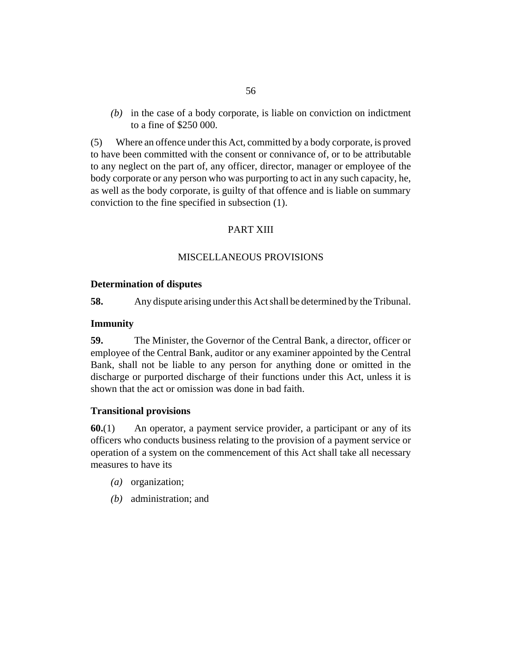<span id="page-55-0"></span>(b) in the case of a body corporate, is liable on conviction on indictment to a fine of \$250 000.

Where an offence under this Act, committed by a body corporate, is proved to have been committed with the consent or connivance of, or to be attributable to any neglect on the part of, any officer, director, manager or employee of the body corporate or any person who was purporting to act in any such capacity, he, as well as the body corporate, is guilty of that offence and is liable on summary conviction to the fine specified in subsection (1). (5)

## PART XIII

#### MISCELLANEOUS PROVISIONS

#### **Determination of disputes**

Any dispute arising under this Act shall be determined by the Tribunal. **58.**

## **Immunity**

The Minister, the Governor of the Central Bank, a director, officer or employee of the Central Bank, auditor or any examiner appointed by the Central Bank, shall not be liable to any person for anything done or omitted in the discharge or purported discharge of their functions under this Act, unless it is shown that the act or omission was done in bad faith. **59.**

#### **Transitional provisions**

An operator, a payment service provider, a participant or any of its officers who conducts business relating to the provision of a payment service or operation of a system on the commencement of this Act shall take all necessary measures to have its **60.**(1)

- (*a*) organization;
- administration; and *(b)*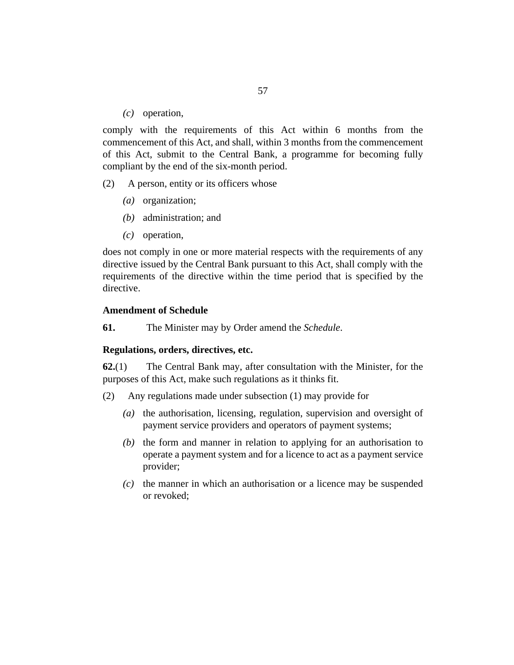(c) operation,

<span id="page-56-0"></span>comply with the requirements of this Act within 6 months from the commencement of this Act, and shall, within 3 months from the commencement of this Act, submit to the Central Bank, a programme for becoming fully compliant by the end of the six-month period.

- A person, entity or its officers whose (2)
	- (*a*) organization;
	- administration; and *(b)*
	- (c) operation,

does not comply in one or more material respects with the requirements of any directive issued by the Central Bank pursuant to this Act, shall comply with the requirements of the directive within the time period that is specified by the directive.

#### **Amendment of Schedule**

The Minister may by Order amend the *Schedule*. **61.**

#### **Regulations, orders, directives, etc.**

The Central Bank may, after consultation with the Minister, for the purposes of this Act, make such regulations as it thinks fit. **62.**(1)

- Any regulations made under subsection (1) may provide for (2)
	- (a) the authorisation, licensing, regulation, supervision and oversight of payment service providers and operators of payment systems;
	- $(b)$  the form and manner in relation to applying for an authorisation to operate a payment system and for a licence to act as a payment service provider;
	- $\alpha$  the manner in which an authorisation or a licence may be suspended or revoked;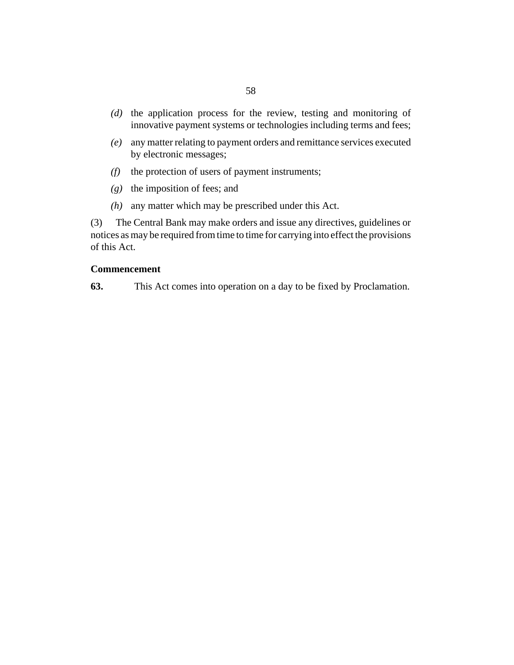- <span id="page-57-0"></span>(d) the application process for the review, testing and monitoring of innovative payment systems or technologies including terms and fees;
- any matter relating to payment orders and remittance services executed *(e)* by electronic messages;
- $(f)$  the protection of users of payment instruments;
- the imposition of fees; and *(g)*
- $(h)$  any matter which may be prescribed under this Act.

The Central Bank may make orders and issue any directives, guidelines or notices as may be required from time to time for carrying into effect the provisions of this Act. (3)

#### **Commencement**

This Act comes into operation on a day to be fixed by Proclamation. **63.**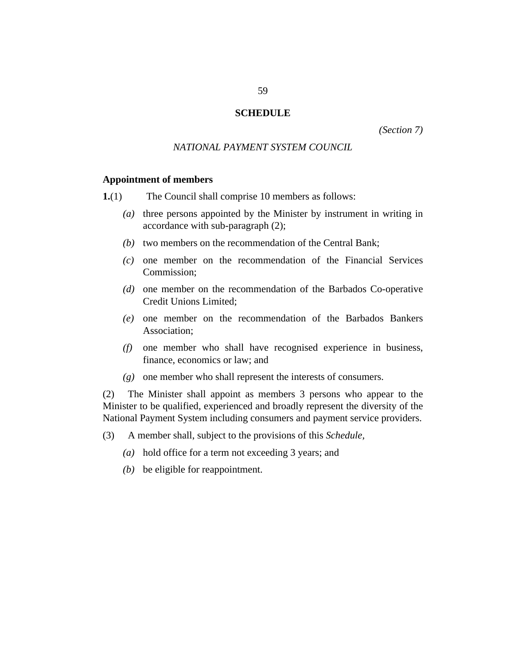#### **SCHEDULE**

*(Section 7)*

#### *NATIONAL PAYMENT SYSTEM COUNCIL*

#### <span id="page-58-0"></span>**Appointment of members**

The Council shall comprise 10 members as follows: **1.**(1)

- (a) three persons appointed by the Minister by instrument in writing in accordance with sub-paragraph (2);
- (b) two members on the recommendation of the Central Bank;
- $(c)$  one member on the recommendation of the Financial Services Commission;
- (d) one member on the recommendation of the Barbados Co-operative Credit Unions Limited;
- one member on the recommendation of the Barbados Bankers *(e)* Association;
- one member who shall have recognised experience in business, *(f)* finance, economics or law; and
- one member who shall represent the interests of consumers. *(g)*

The Minister shall appoint as members 3 persons who appear to the Minister to be qualified, experienced and broadly represent the diversity of the National Payment System including consumers and payment service providers. (2)

- A member shall, subject to the provisions of this *Schedule,* (3)
	- hold office for a term not exceeding 3 years; and *(a)*
	- $(b)$  be eligible for reappointment.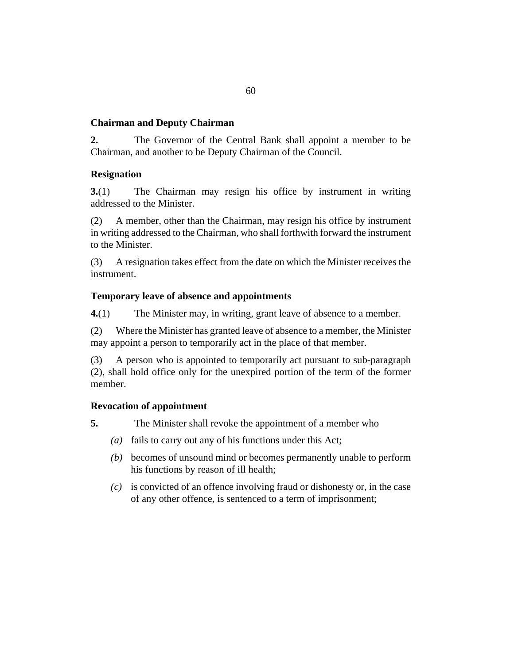## **Chairman and Deputy Chairman**

The Governor of the Central Bank shall appoint a member to be Chairman, and another to be Deputy Chairman of the Council. **2.**

#### **Resignation**

The Chairman may resign his office by instrument in writing addressed to the Minister. **3.**(1)

A member, other than the Chairman, may resign his office by instrument in writing addressed to the Chairman, who shall forthwith forward the instrument to the Minister. (2)

A resignation takes effect from the date on which the Minister receives the instrument. (3)

#### **Temporary leave of absence and appointments**

The Minister may, in writing, grant leave of absence to a member. **4.**(1)

Where the Minister has granted leave of absence to a member, the Minister may appoint a person to temporarily act in the place of that member. (2)

A person who is appointed to temporarily act pursuant to sub-paragraph (2), shall hold office only for the unexpired portion of the term of the former member. (3)

## **Revocation of appointment**

The Minister shall revoke the appointment of a member who **5.**

- (a) fails to carry out any of his functions under this Act;
- becomes of unsound mind or becomes permanently unable to perform *(b)* his functions by reason of ill health;
- is convicted of an offence involving fraud or dishonesty or, in the case *(c)* of any other offence, is sentenced to a term of imprisonment;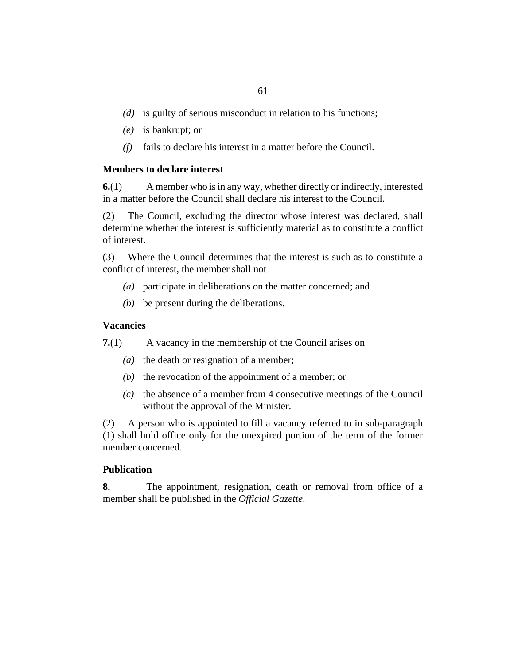- (d) is guilty of serious misconduct in relation to his functions;
- is bankrupt; or *(e)*
- $(f)$  fails to declare his interest in a matter before the Council.

#### **Members to declare interest**

A member who is in any way, whether directly or indirectly, interested in a matter before the Council shall declare his interest to the Council. **6.**(1)

The Council, excluding the director whose interest was declared, shall determine whether the interest is sufficiently material as to constitute a conflict of interest. (2)

Where the Council determines that the interest is such as to constitute a conflict of interest, the member shall not (3)

- participate in deliberations on the matter concerned; and *(a)*
- be present during the deliberations. *(b)*

#### **Vacancies**

A vacancy in the membership of the Council arises on **7.**(1)

- ( $a$ ) the death or resignation of a member;
- $(b)$  the revocation of the appointment of a member; or
- $(c)$  the absence of a member from 4 consecutive meetings of the Council without the approval of the Minister.

A person who is appointed to fill a vacancy referred to in sub-paragraph (1) shall hold office only for the unexpired portion of the term of the former member concerned. (2)

#### **Publication**

The appointment, resignation, death or removal from office of a member shall be published in the *Official Gazette*. **8.**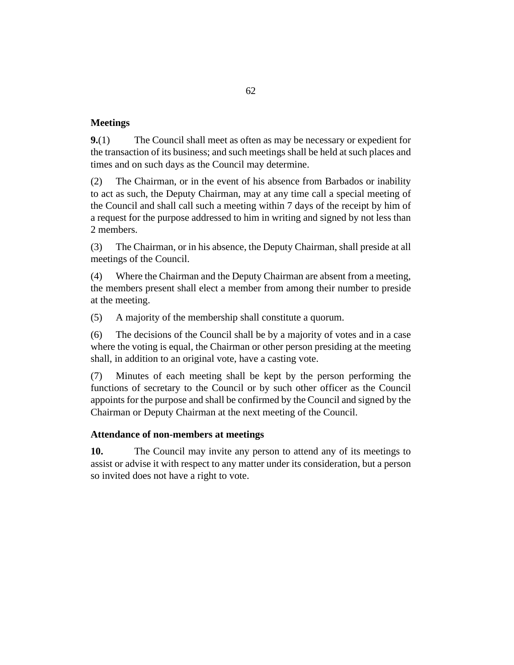## **Meetings**

The Council shall meet as often as may be necessary or expedient for the transaction of its business; and such meetings shall be held at such places and times and on such days as the Council may determine. **9.**(1)

The Chairman, or in the event of his absence from Barbados or inability to act as such, the Deputy Chairman, may at any time call a special meeting of the Council and shall call such a meeting within 7 days of the receipt by him of a request for the purpose addressed to him in writing and signed by not less than 2 members. (2)

The Chairman, or in his absence, the Deputy Chairman, shall preside at all meetings of the Council. (3)

Where the Chairman and the Deputy Chairman are absent from a meeting, the members present shall elect a member from among their number to preside at the meeting. (4)

A majority of the membership shall constitute a quorum. (5)

The decisions of the Council shall be by a majority of votes and in a case where the voting is equal, the Chairman or other person presiding at the meeting shall, in addition to an original vote, have a casting vote. (6)

Minutes of each meeting shall be kept by the person performing the functions of secretary to the Council or by such other officer as the Council appoints for the purpose and shall be confirmed by the Council and signed by the Chairman or Deputy Chairman at the next meeting of the Council. (7)

## **Attendance of non-members at meetings**

The Council may invite any person to attend any of its meetings to assist or advise it with respect to any matter under its consideration, but a person so invited does not have a right to vote. **10.**